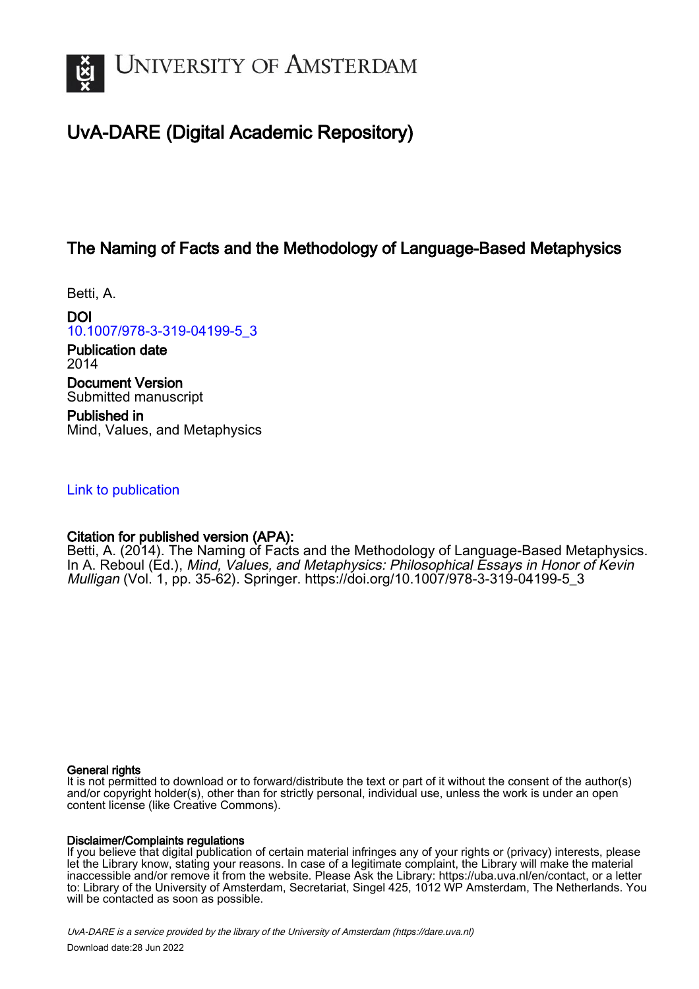

# UvA-DARE (Digital Academic Repository)

# The Naming of Facts and the Methodology of Language-Based Metaphysics

Betti, A.

DOI [10.1007/978-3-319-04199-5\\_3](https://doi.org/10.1007/978-3-319-04199-5_3)

Publication date 2014 Document Version

Submitted manuscript Published in Mind, Values, and Metaphysics

## [Link to publication](https://dare.uva.nl/personal/pure/en/publications/the-naming-of-facts-and-the-methodology-of-languagebased-metaphysics(e86180d0-3cd7-4e44-bfbc-e4dd76dba889).html)

## Citation for published version (APA):

Betti, A. (2014). The Naming of Facts and the Methodology of Language-Based Metaphysics. In A. Reboul (Ed.), Mind, Values, and Metaphysics: Philosophical Essays in Honor of Kevin Mulligan (Vol. 1, pp. 35-62). Springer. [https://doi.org/10.1007/978-3-319-04199-5\\_3](https://doi.org/10.1007/978-3-319-04199-5_3)

#### General rights

It is not permitted to download or to forward/distribute the text or part of it without the consent of the author(s) and/or copyright holder(s), other than for strictly personal, individual use, unless the work is under an open content license (like Creative Commons).

#### Disclaimer/Complaints regulations

If you believe that digital publication of certain material infringes any of your rights or (privacy) interests, please let the Library know, stating your reasons. In case of a legitimate complaint, the Library will make the material inaccessible and/or remove it from the website. Please Ask the Library: https://uba.uva.nl/en/contact, or a letter to: Library of the University of Amsterdam, Secretariat, Singel 425, 1012 WP Amsterdam, The Netherlands. You will be contacted as soon as possible.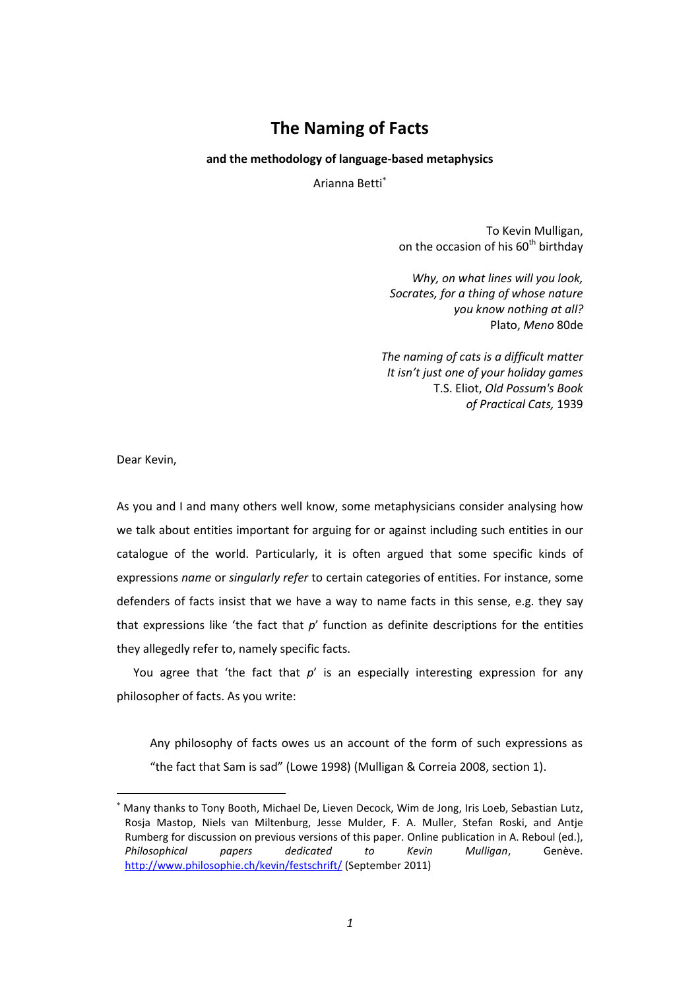## **The Naming of Facts**

#### **and the methodology of language-based metaphysics**

Arianna Betti

To Kevin Mulligan, on the occasion of his 60<sup>th</sup> birthday

*Why, on what lines will you look, Socrates, for a thing of whose nature you know nothing at all?* Plato, *Meno* 80de

*The naming of cats is a difficult matter It isn't just one of your holiday games* T.S. Eliot, *Old Possum's Book of Practical Cats,* 1939

Dear Kevin,

 $\overline{a}$ 

As you and I and many others well know, some metaphysicians consider analysing how we talk about entities important for arguing for or against including such entities in our catalogue of the world. Particularly, it is often argued that some specific kinds of expressions *name* or *singularly refer* to certain categories of entities. For instance, some defenders of facts insist that we have a way to name facts in this sense, e.g. they say that expressions like 'the fact that *p*' function as definite descriptions for the entities they allegedly refer to, namely specific facts.

You agree that 'the fact that  $p'$  is an especially interesting expression for any philosopher of facts. As you write:

Any philosophy of facts owes us an account of the form of such expressions as "the fact that Sam is sad" (Lowe 1998) (Mulligan & Correia 2008, section 1).

Many thanks to Tony Booth, Michael De, Lieven Decock, Wim de Jong, Iris Loeb, Sebastian Lutz, Rosja Mastop, Niels van Miltenburg, Jesse Mulder, F. A. Muller, Stefan Roski, and Antje Rumberg for discussion on previous versions of this paper. Online publication in A. Reboul (ed.), *Philosophical papers dedicated to Kevin Mulligan*, Genève. <http://www.philosophie.ch/kevin/festschrift/> (September 2011)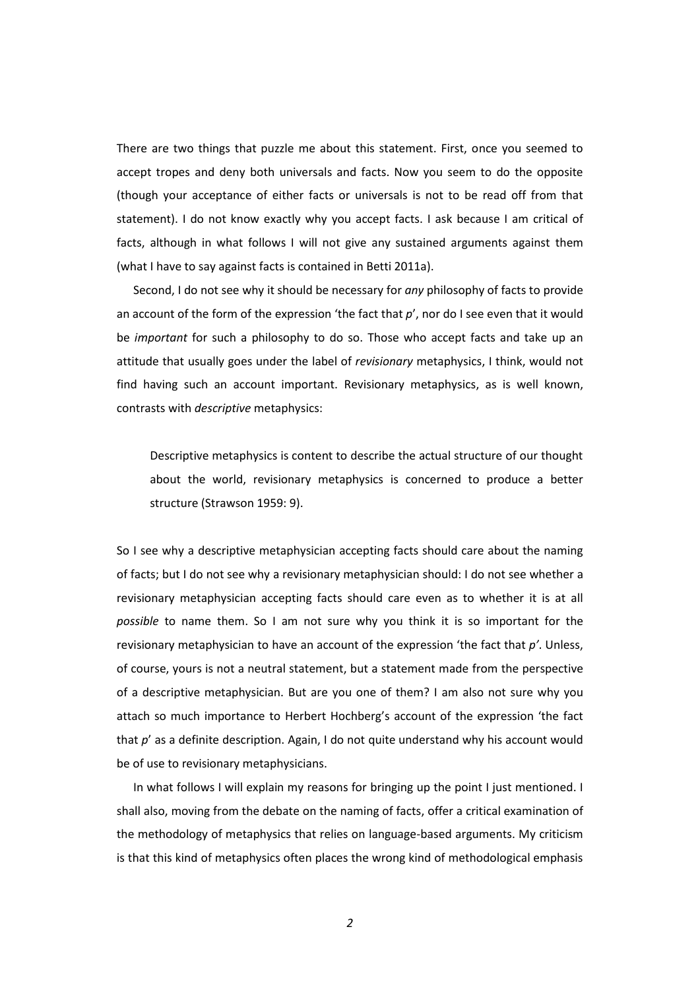There are two things that puzzle me about this statement. First, once you seemed to accept tropes and deny both universals and facts. Now you seem to do the opposite (though your acceptance of either facts or universals is not to be read off from that statement). I do not know exactly why you accept facts. I ask because I am critical of facts, although in what follows I will not give any sustained arguments against them (what I have to say against facts is contained in Betti 2011a).

Second, I do not see why it should be necessary for *any* philosophy of facts to provide an account of the form of the expression 'the fact that *p*', nor do I see even that it would be *important* for such a philosophy to do so. Those who accept facts and take up an attitude that usually goes under the label of *revisionary* metaphysics, I think, would not find having such an account important. Revisionary metaphysics, as is well known, contrasts with *descriptive* metaphysics:

Descriptive metaphysics is content to describe the actual structure of our thought about the world, revisionary metaphysics is concerned to produce a better structure (Strawson 1959: 9).

So I see why a descriptive metaphysician accepting facts should care about the naming of facts; but I do not see why a revisionary metaphysician should: I do not see whether a revisionary metaphysician accepting facts should care even as to whether it is at all *possible* to name them. So I am not sure why you think it is so important for the revisionary metaphysician to have an account of the expression 'the fact that *p'*. Unless, of course, yours is not a neutral statement, but a statement made from the perspective of a descriptive metaphysician. But are you one of them? I am also not sure why you attach so much importance to Herbert Hochberg's account of the expression 'the fact that *p*' as a definite description. Again, I do not quite understand why his account would be of use to revisionary metaphysicians.

In what follows I will explain my reasons for bringing up the point I just mentioned. I shall also, moving from the debate on the naming of facts, offer a critical examination of the methodology of metaphysics that relies on language-based arguments. My criticism is that this kind of metaphysics often places the wrong kind of methodological emphasis

*2*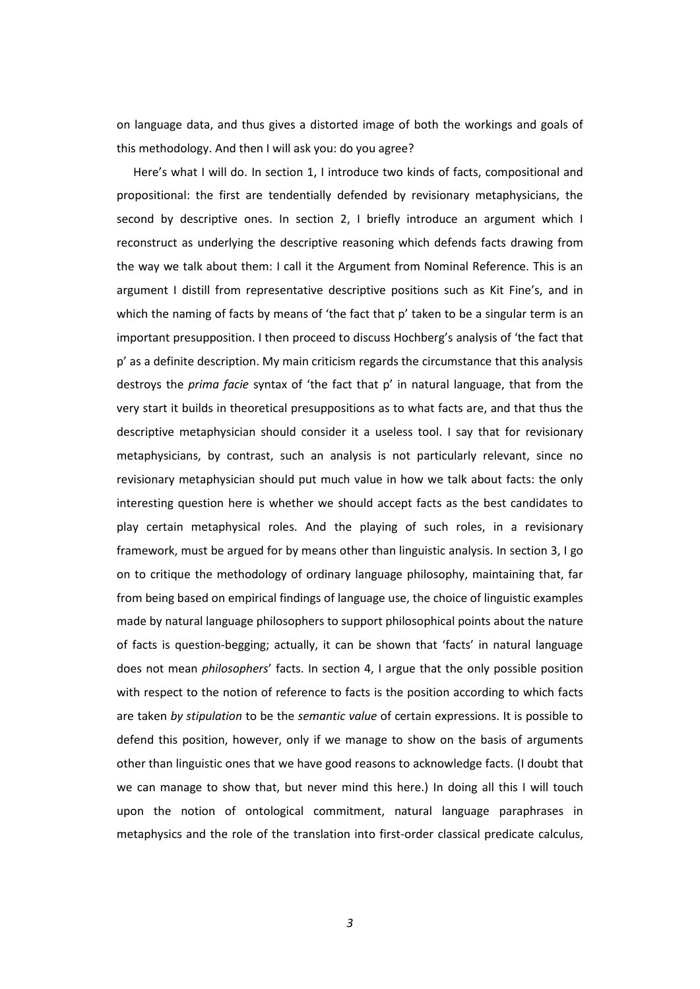on language data, and thus gives a distorted image of both the workings and goals of this methodology. And then I will ask you: do you agree?

Here's what I will do. In section 1, I introduce two kinds of facts, compositional and propositional: the first are tendentially defended by revisionary metaphysicians, the second by descriptive ones. In section 2, I briefly introduce an argument which I reconstruct as underlying the descriptive reasoning which defends facts drawing from the way we talk about them: I call it the Argument from Nominal Reference. This is an argument I distill from representative descriptive positions such as Kit Fine's, and in which the naming of facts by means of 'the fact that p' taken to be a singular term is an important presupposition. I then proceed to discuss Hochberg's analysis of 'the fact that p' as a definite description. My main criticism regards the circumstance that this analysis destroys the *prima facie* syntax of 'the fact that p' in natural language, that from the very start it builds in theoretical presuppositions as to what facts are, and that thus the descriptive metaphysician should consider it a useless tool. I say that for revisionary metaphysicians, by contrast, such an analysis is not particularly relevant, since no revisionary metaphysician should put much value in how we talk about facts: the only interesting question here is whether we should accept facts as the best candidates to play certain metaphysical roles. And the playing of such roles, in a revisionary framework, must be argued for by means other than linguistic analysis. In section 3, I go on to critique the methodology of ordinary language philosophy, maintaining that, far from being based on empirical findings of language use, the choice of linguistic examples made by natural language philosophers to support philosophical points about the nature of facts is question-begging; actually, it can be shown that 'facts' in natural language does not mean *philosophers*' facts. In section 4, I argue that the only possible position with respect to the notion of reference to facts is the position according to which facts are taken *by stipulation* to be the *semantic value* of certain expressions. It is possible to defend this position, however, only if we manage to show on the basis of arguments other than linguistic ones that we have good reasons to acknowledge facts. (I doubt that we can manage to show that, but never mind this here.) In doing all this I will touch upon the notion of ontological commitment, natural language paraphrases in metaphysics and the role of the translation into first-order classical predicate calculus,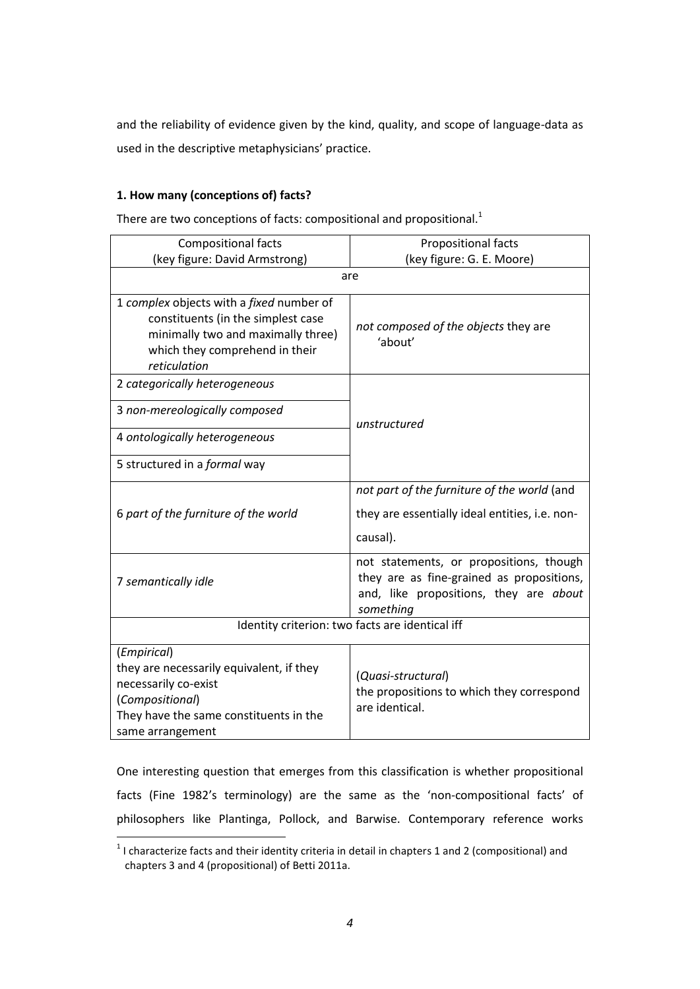and the reliability of evidence given by the kind, quality, and scope of language-data as used in the descriptive metaphysicians' practice.

### **1. How many (conceptions of) facts?**

There are two conceptions of facts: compositional and propositional.<sup>1</sup>

| <b>Compositional facts</b>                                                                                                                                             | Propositional facts                                                                                                                         |  |  |  |  |  |
|------------------------------------------------------------------------------------------------------------------------------------------------------------------------|---------------------------------------------------------------------------------------------------------------------------------------------|--|--|--|--|--|
| (key figure: David Armstrong)                                                                                                                                          | (key figure: G. E. Moore)                                                                                                                   |  |  |  |  |  |
| are                                                                                                                                                                    |                                                                                                                                             |  |  |  |  |  |
| 1 complex objects with a fixed number of<br>constituents (in the simplest case<br>minimally two and maximally three)<br>which they comprehend in their<br>reticulation | not composed of the objects they are<br>'about'                                                                                             |  |  |  |  |  |
| 2 categorically heterogeneous                                                                                                                                          |                                                                                                                                             |  |  |  |  |  |
| 3 non-mereologically composed                                                                                                                                          | unstructured                                                                                                                                |  |  |  |  |  |
| 4 ontologically heterogeneous                                                                                                                                          |                                                                                                                                             |  |  |  |  |  |
| 5 structured in a formal way                                                                                                                                           |                                                                                                                                             |  |  |  |  |  |
|                                                                                                                                                                        | not part of the furniture of the world (and                                                                                                 |  |  |  |  |  |
| 6 part of the furniture of the world                                                                                                                                   | they are essentially ideal entities, i.e. non-                                                                                              |  |  |  |  |  |
|                                                                                                                                                                        | causal).                                                                                                                                    |  |  |  |  |  |
| 7 semantically idle                                                                                                                                                    | not statements, or propositions, though<br>they are as fine-grained as propositions,<br>and, like propositions, they are about<br>something |  |  |  |  |  |
| Identity criterion: two facts are identical iff                                                                                                                        |                                                                                                                                             |  |  |  |  |  |
| (Empirical)<br>they are necessarily equivalent, if they<br>necessarily co-exist<br>(Compositional)<br>They have the same constituents in the<br>same arrangement       | (Quasi-structural)<br>the propositions to which they correspond<br>are identical.                                                           |  |  |  |  |  |

One interesting question that emerges from this classification is whether propositional facts (Fine 1982's terminology) are the same as the 'non-compositional facts' of philosophers like Plantinga, Pollock, and Barwise. Contemporary reference works

<sup>&</sup>lt;u>denatives</u><br>In characterize facts and their identity criteria in detail in chapters 1 and 2 (compositional) and chapters 3 and 4 (propositional) of Betti 2011a.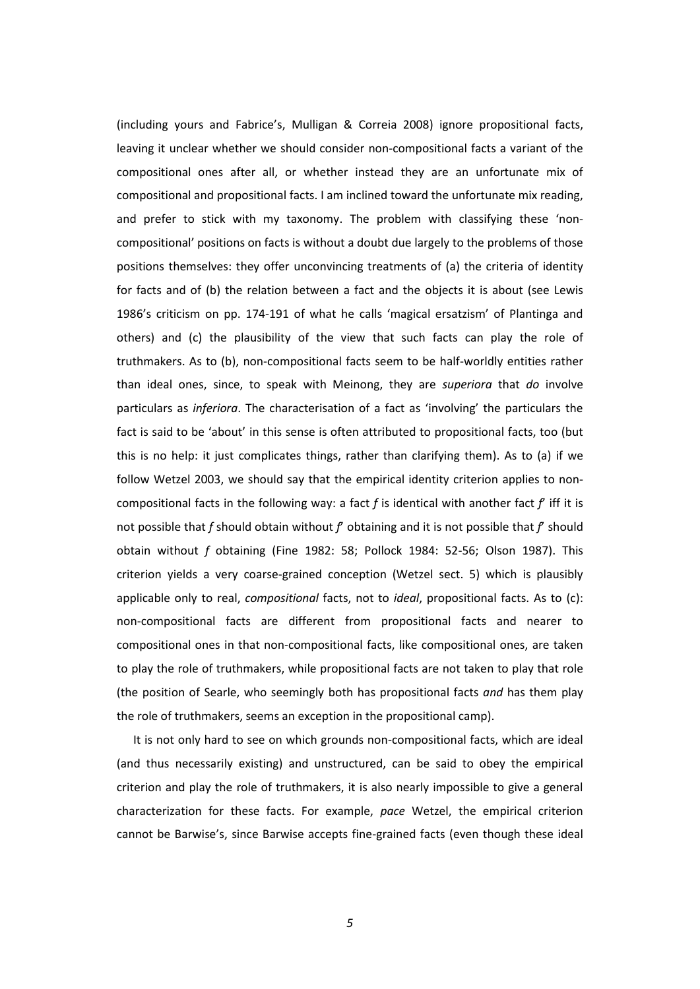(including yours and Fabrice's, Mulligan & Correia 2008) ignore propositional facts, leaving it unclear whether we should consider non-compositional facts a variant of the compositional ones after all, or whether instead they are an unfortunate mix of compositional and propositional facts. I am inclined toward the unfortunate mix reading, and prefer to stick with my taxonomy. The problem with classifying these 'noncompositional' positions on facts is without a doubt due largely to the problems of those positions themselves: they offer unconvincing treatments of (a) the criteria of identity for facts and of (b) the relation between a fact and the objects it is about (see Lewis 1986's criticism on pp. 174-191 of what he calls 'magical ersatzism' of Plantinga and others) and (c) the plausibility of the view that such facts can play the role of truthmakers. As to (b), non-compositional facts seem to be half-worldly entities rather than ideal ones, since, to speak with Meinong, they are *superiora* that *do* involve particulars as *inferiora*. The characterisation of a fact as 'involving' the particulars the fact is said to be 'about' in this sense is often attributed to propositional facts, too (but this is no help: it just complicates things, rather than clarifying them). As to (a) if we follow Wetzel 2003, we should say that the empirical identity criterion applies to noncompositional facts in the following way: a fact *f* is identical with another fact *f*' iff it is not possible that *f* should obtain without *f*' obtaining and it is not possible that *f*' should obtain without *f* obtaining (Fine 1982: 58; Pollock 1984: 52-56; Olson 1987). This criterion yields a very coarse-grained conception (Wetzel sect. 5) which is plausibly applicable only to real, *compositional* facts, not to *ideal*, propositional facts. As to (c): non-compositional facts are different from propositional facts and nearer to compositional ones in that non-compositional facts, like compositional ones, are taken to play the role of truthmakers, while propositional facts are not taken to play that role (the position of Searle, who seemingly both has propositional facts *and* has them play the role of truthmakers, seems an exception in the propositional camp).

It is not only hard to see on which grounds non-compositional facts, which are ideal (and thus necessarily existing) and unstructured, can be said to obey the empirical criterion and play the role of truthmakers, it is also nearly impossible to give a general characterization for these facts. For example, *pace* Wetzel, the empirical criterion cannot be Barwise's, since Barwise accepts fine-grained facts (even though these ideal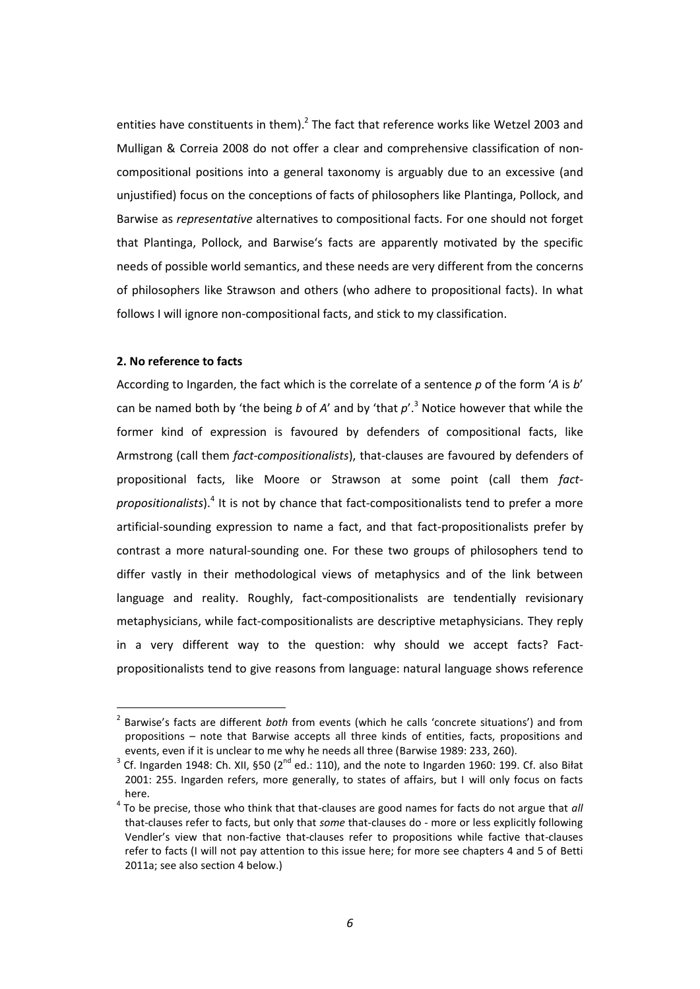entities have constituents in them). $^2$  The fact that reference works like Wetzel 2003 and Mulligan & Correia 2008 do not offer a clear and comprehensive classification of noncompositional positions into a general taxonomy is arguably due to an excessive (and unjustified) focus on the conceptions of facts of philosophers like Plantinga, Pollock, and Barwise as *representative* alternatives to compositional facts. For one should not forget that Plantinga, Pollock, and Barwise's facts are apparently motivated by the specific needs of possible world semantics, and these needs are very different from the concerns of philosophers like Strawson and others (who adhere to propositional facts). In what follows I will ignore non-compositional facts, and stick to my classification.

#### **2. No reference to facts**

 $\overline{a}$ 

According to Ingarden, the fact which is the correlate of a sentence *p* of the form '*A* is *b*' can be named both by 'the being  $b$  of  $A'$  and by 'that  $p'$ .<sup>3</sup> Notice however that while the former kind of expression is favoured by defenders of compositional facts, like Armstrong (call them *fact-compositionalists*), that-clauses are favoured by defenders of propositional facts, like Moore or Strawson at some point (call them *fact*propositionalists).<sup>4</sup> It is not by chance that fact-compositionalists tend to prefer a more artificial-sounding expression to name a fact, and that fact-propositionalists prefer by contrast a more natural-sounding one. For these two groups of philosophers tend to differ vastly in their methodological views of metaphysics and of the link between language and reality. Roughly, fact-compositionalists are tendentially revisionary metaphysicians, while fact-compositionalists are descriptive metaphysicians. They reply in a very different way to the question: why should we accept facts? Factpropositionalists tend to give reasons from language: natural language shows reference

<sup>2</sup> Barwise's facts are different *both* from events (which he calls 'concrete situations') and from propositions – note that Barwise accepts all three kinds of entities, facts, propositions and events, even if it is unclear to me why he needs all three (Barwise 1989: 233, 260).

<sup>3</sup> Cf. Ingarden 1948: Ch. XII, §50 (2<sup>nd</sup> ed.: 110), and the note to Ingarden 1960: 199. Cf. also Biłat 2001: 255. Ingarden refers, more generally, to states of affairs, but I will only focus on facts here.

<sup>4</sup> To be precise, those who think that that-clauses are good names for facts do not argue that *all* that-clauses refer to facts, but only that *some* that-clauses do - more or less explicitly following Vendler's view that non-factive that-clauses refer to propositions while factive that-clauses refer to facts (I will not pay attention to this issue here; for more see chapters 4 and 5 of Betti 2011a; see also section 4 below.)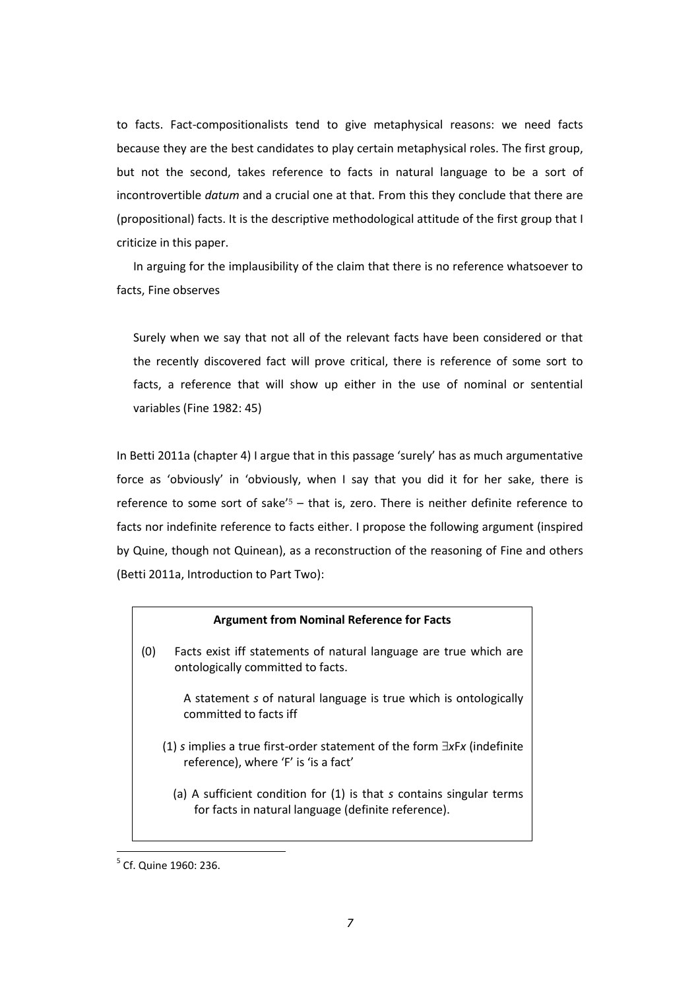to facts. Fact-compositionalists tend to give metaphysical reasons: we need facts because they are the best candidates to play certain metaphysical roles. The first group, but not the second, takes reference to facts in natural language to be a sort of incontrovertible *datum* and a crucial one at that. From this they conclude that there are (propositional) facts. It is the descriptive methodological attitude of the first group that I criticize in this paper.

In arguing for the implausibility of the claim that there is no reference whatsoever to facts, Fine observes

Surely when we say that not all of the relevant facts have been considered or that the recently discovered fact will prove critical, there is reference of some sort to facts, a reference that will show up either in the use of nominal or sentential variables (Fine 1982: 45)

In Betti 2011a (chapter 4) I argue that in this passage 'surely' has as much argumentative force as 'obviously' in 'obviously, when I say that you did it for her sake, there is reference to some sort of sake<sup> $75$ </sup> – that is, zero. There is neither definite reference to facts nor indefinite reference to facts either. I propose the following argument (inspired by Quine, though not Quinean), as a reconstruction of the reasoning of Fine and others (Betti 2011a, Introduction to Part Two):

#### **Argument from Nominal Reference for Facts**

(0) Facts exist iff statements of natural language are true which are ontologically committed to facts.

> A statement *s* of natural language is true which is ontologically committed to facts iff

- (1)  $s$  implies a true first-order statement of the form  $\exists xFx$  (indefinite reference), where 'F' is 'is a fact'
	- (a) A sufficient condition for (1) is that *s* contains singular terms for facts in natural language (definite reference).

<sup>&</sup>lt;sup>5</sup> Cf. Quine 1960: 236.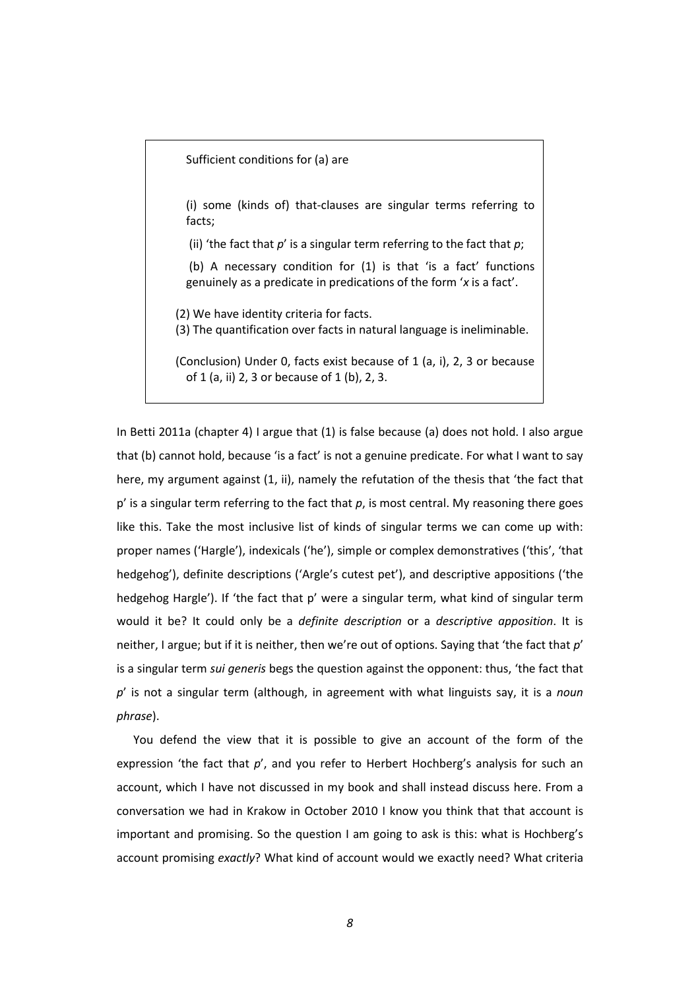Sufficient conditions for (a) are

(i) some (kinds of) that-clauses are singular terms referring to facts;

(ii) 'the fact that *p*' is a singular term referring to the fact that *p*;

(b) A necessary condition for (1) is that 'is a fact' functions genuinely as a predicate in predications of the form '*x* is a fact'.

(2) We have identity criteria for facts.

(3) The quantification over facts in natural language is ineliminable.

(Conclusion) Under 0, facts exist because of 1 (a, i), 2, 3 or because of 1 (a, ii) 2, 3 or because of 1 (b), 2, 3.

In Betti 2011a (chapter 4) I argue that (1) is false because (a) does not hold. I also argue that (b) cannot hold, because 'is a fact' is not a genuine predicate. For what I want to say here, my argument against (1, ii), namely the refutation of the thesis that 'the fact that p' is a singular term referring to the fact that *p*, is most central. My reasoning there goes like this. Take the most inclusive list of kinds of singular terms we can come up with: proper names ('Hargle'), indexicals ('he'), simple or complex demonstratives ('this', 'that hedgehog'), definite descriptions ('Argle's cutest pet'), and descriptive appositions ('the hedgehog Hargle'). If 'the fact that p' were a singular term, what kind of singular term would it be? It could only be a *definite description* or a *descriptive apposition*. It is neither, I argue; but if it is neither, then we're out of options. Saying that 'the fact that *p*' is a singular term *sui generis* begs the question against the opponent: thus, 'the fact that *p*' is not a singular term (although, in agreement with what linguists say, it is a *noun phrase*).

You defend the view that it is possible to give an account of the form of the expression 'the fact that p', and you refer to Herbert Hochberg's analysis for such an account, which I have not discussed in my book and shall instead discuss here. From a conversation we had in Krakow in October 2010 I know you think that that account is important and promising. So the question I am going to ask is this: what is Hochberg's account promising *exactly*? What kind of account would we exactly need? What criteria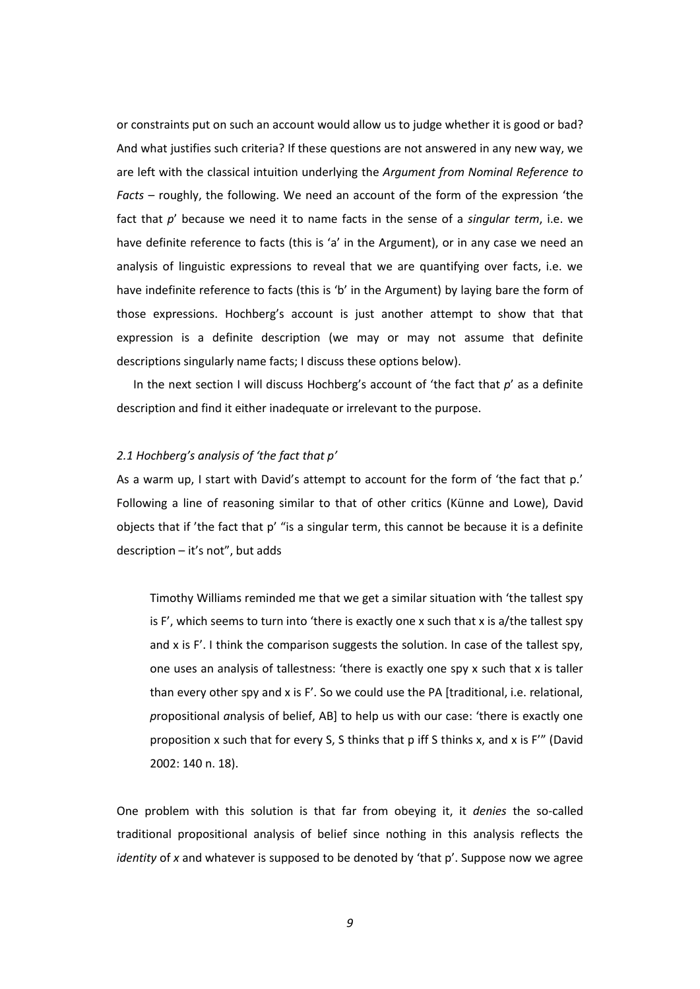or constraints put on such an account would allow us to judge whether it is good or bad? And what justifies such criteria? If these questions are not answered in any new way, we are left with the classical intuition underlying the *Argument from Nominal Reference to Facts* – roughly, the following. We need an account of the form of the expression 'the fact that *p*' because we need it to name facts in the sense of a *singular term*, i.e. we have definite reference to facts (this is 'a' in the Argument), or in any case we need an analysis of linguistic expressions to reveal that we are quantifying over facts, i.e. we have indefinite reference to facts (this is 'b' in the Argument) by laying bare the form of those expressions. Hochberg's account is just another attempt to show that that expression is a definite description (we may or may not assume that definite descriptions singularly name facts; I discuss these options below).

In the next section I will discuss Hochberg's account of 'the fact that *p*' as a definite description and find it either inadequate or irrelevant to the purpose.

### *2.1 Hochberg's analysis of 'the fact that p'*

As a warm up, I start with David's attempt to account for the form of 'the fact that p.' Following a line of reasoning similar to that of other critics (Künne and Lowe), David objects that if 'the fact that p' "is a singular term, this cannot be because it is a definite description – it's not", but adds

Timothy Williams reminded me that we get a similar situation with 'the tallest spy is F', which seems to turn into 'there is exactly one x such that x is a/the tallest spy and x is F'. I think the comparison suggests the solution. In case of the tallest spy, one uses an analysis of tallestness: 'there is exactly one spy x such that x is taller than every other spy and x is F'. So we could use the PA [traditional, i.e. relational, *p*ropositional *a*nalysis of belief, AB] to help us with our case: 'there is exactly one proposition x such that for every S, S thinks that p iff S thinks x, and x is F'" (David 2002: 140 n. 18).

One problem with this solution is that far from obeying it, it *denies* the so-called traditional propositional analysis of belief since nothing in this analysis reflects the *identity* of *x* and whatever is supposed to be denoted by 'that p'. Suppose now we agree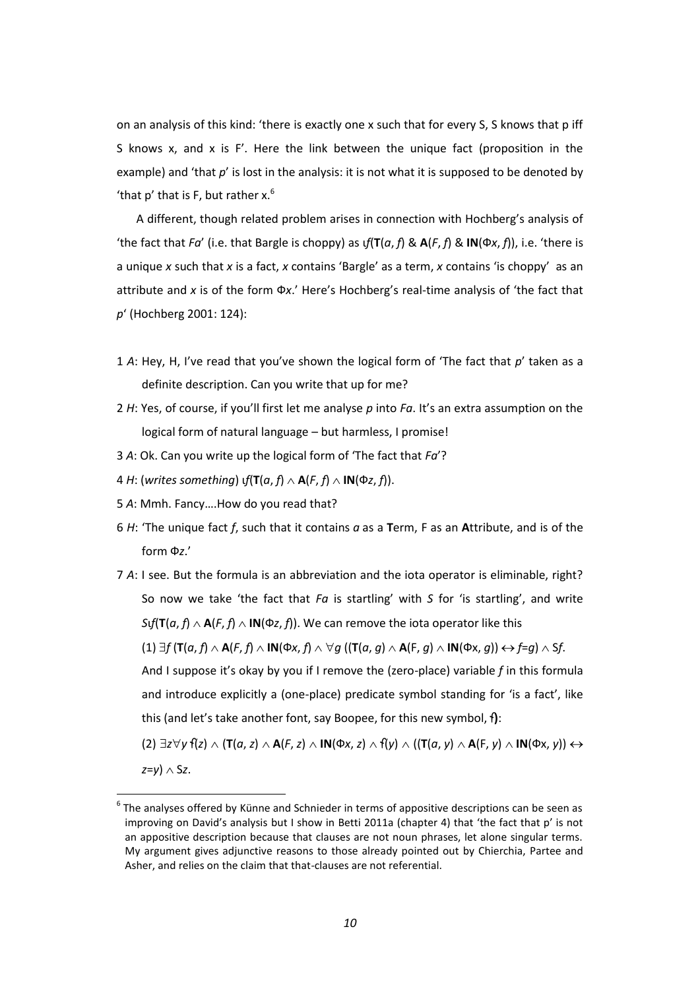on an analysis of this kind: 'there is exactly one x such that for every S, S knows that p iff S knows x, and x is F'. Here the link between the unique fact (proposition in the example) and 'that *p*' is lost in the analysis: it is not what it is supposed to be denoted by 'that  $p'$  that is F, but rather  $x^6$ 

A different, though related problem arises in connection with Hochberg's analysis of 'the fact that *Fa*' (i.e. that Bargle is choppy) as ι*f*(**T**(*a*, *f*) & **A**(*F*, *f*) & **IN**(Ф*x*, *f*)), i.e. 'there is a unique *x* such that *x* is a fact, *x* contains 'Bargle' as a term, *x* contains 'is choppy' as an attribute and *x* is of the form Ф*x*.' Here's Hochberg's real-time analysis of 'the fact that *p*' (Hochberg 2001: 124):

- 1 *A*: Hey, H, I've read that you've shown the logical form of 'The fact that *p*' taken as a definite description. Can you write that up for me?
- 2 *H*: Yes, of course, if you'll first let me analyse *p* into *Fa*. It's an extra assumption on the logical form of natural language – but harmless, I promise!
- 3 *A*: Ok. Can you write up the logical form of 'The fact that *Fa*'?
- 4 *H*: (*writes something*) ι*f*(**T**(*a*, *f*) **A**(*F*, *f*) **IN**(Ф*z*, *f*)).
- 5 *A*: Mmh. Fancy….How do you read that?

- 6 *H*: 'The unique fact *f*, such that it contains *a* as a **T**erm, F as an **A**ttribute, and is of the form Ф*z*.'
- 7 *A*: I see. But the formula is an abbreviation and the iota operator is eliminable, right? So now we take 'the fact that *Fa* is startling' with *S* for 'is startling', and write  $S \cup f(T(a, f) \wedge A(F, f) \wedge IN(\Phi z, f))$ . We can remove the iota operator like this (1)  $\exists f$  (**T**(*a*, *f*)  $\land$  **A**(*F*, *f*)  $\land$  **IN**( $\Phi$ *x*, *f*)  $\land$   $\forall g$  ((**T**(*a*, *g*)  $\land$  **A**(*F*, *g*)  $\land$  **IN**( $\Phi$ *x*, *g*))  $\leftrightarrow$  *f*=*g*)  $\land$  *Sf*. And I suppose it's okay by you if I remove the (zero-place) variable *f* in this formula and introduce explicitly a (one-place) predicate symbol standing for 'is a fact', like this (and let's take another font, say Boopee, for this new symbol, **f)**:  $(2) \exists z \forall y f(z) \wedge (T(a, z) \wedge A(F, z) \wedge IN(\Phi x, z) \wedge f(y) \wedge ((T(a, y) \wedge A(F, y) \wedge IN(\Phi x, y)) \leftrightarrow$ *z*= $y$ )  $\wedge$  S*z*.

 $<sup>6</sup>$  The analyses offered by Künne and Schnieder in terms of appositive descriptions can be seen as</sup> improving on David's analysis but I show in Betti 2011a (chapter 4) that 'the fact that p' is not an appositive description because that clauses are not noun phrases, let alone singular terms. My argument gives adjunctive reasons to those already pointed out by Chierchia, Partee and Asher, and relies on the claim that that-clauses are not referential.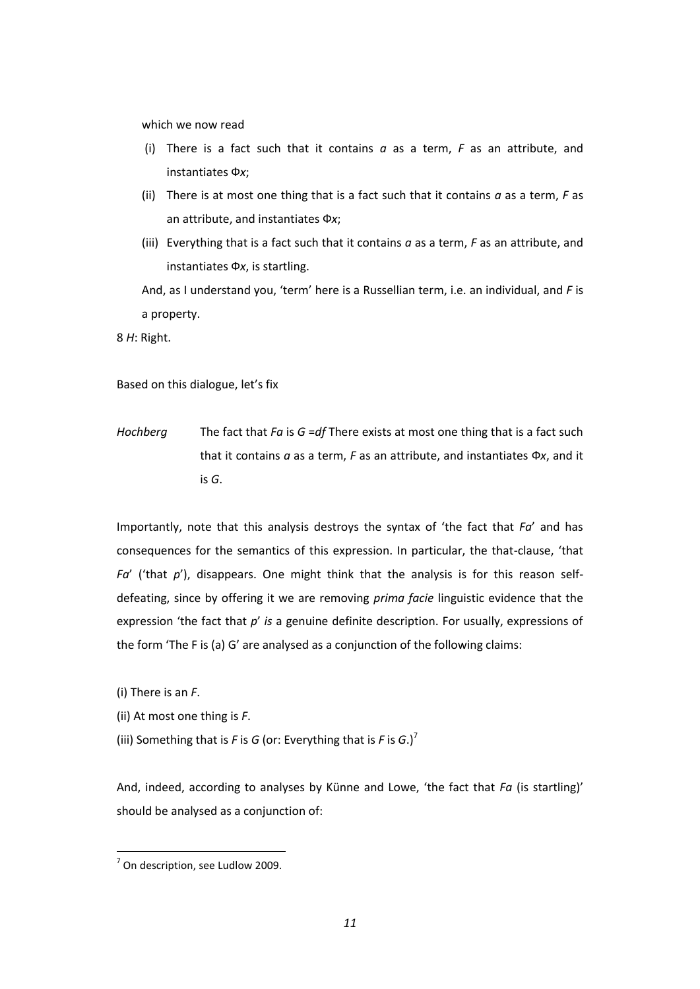which we now read

- (i) There is a fact such that it contains *a* as a term, *F* as an attribute, and instantiates Ф*x*;
- (ii) There is at most one thing that is a fact such that it contains  $a$  as a term,  $F$  as an attribute, and instantiates Ф*x*;
- (iii) Everything that is a fact such that it contains *a* as a term, *F* as an attribute, and instantiates Ф*x*, is startling.

And, as I understand you, 'term' here is a Russellian term, i.e. an individual, and *F* is a property.

8 *H*: Right.

Based on this dialogue, let's fix

*Hochberg* The fact that *Fa* is *G* =*df* There exists at most one thing that is a fact such that it contains *a* as a term, *F* as an attribute, and instantiates Ф*x*, and it is *G*.

Importantly, note that this analysis destroys the syntax of 'the fact that *Fa*' and has consequences for the semantics of this expression. In particular, the that-clause, 'that *Fa*' ('that *p*'), disappears. One might think that the analysis is for this reason selfdefeating, since by offering it we are removing *prima facie* linguistic evidence that the expression 'the fact that *p*' *is* a genuine definite description. For usually, expressions of the form 'The F is (a) G' are analysed as a conjunction of the following claims:

(i) There is an *F*.

 $\overline{a}$ 

- (ii) At most one thing is *F*.
- (iii) Something that is *F* is *G* (or: Everything that is *F* is *G*.)<sup>7</sup>

And, indeed, according to analyses by Künne and Lowe, 'the fact that *Fa* (is startling)' should be analysed as a conjunction of:

 $<sup>7</sup>$  On description, see Ludlow 2009.</sup>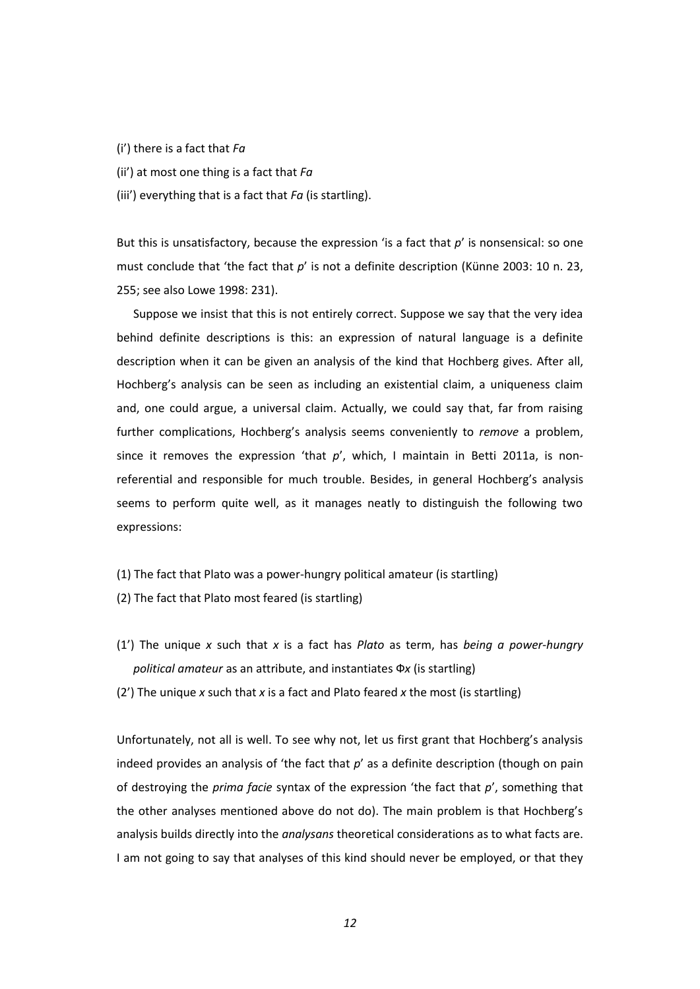- (i') there is a fact that *Fa*
- (ii') at most one thing is a fact that *Fa*
- (iii') everything that is a fact that *Fa* (is startling).

But this is unsatisfactory, because the expression 'is a fact that *p*' is nonsensical: so one must conclude that 'the fact that *p*' is not a definite description (Künne 2003: 10 n. 23, 255; see also Lowe 1998: 231).

Suppose we insist that this is not entirely correct. Suppose we say that the very idea behind definite descriptions is this: an expression of natural language is a definite description when it can be given an analysis of the kind that Hochberg gives. After all, Hochberg's analysis can be seen as including an existential claim, a uniqueness claim and, one could argue, a universal claim. Actually, we could say that, far from raising further complications, Hochberg's analysis seems conveniently to *remove* a problem, since it removes the expression 'that *p*', which, I maintain in Betti 2011a, is nonreferential and responsible for much trouble. Besides, in general Hochberg's analysis seems to perform quite well, as it manages neatly to distinguish the following two expressions:

- (1) The fact that Plato was a power-hungry political amateur (is startling)
- (2) The fact that Plato most feared (is startling)
- (1') The unique *x* such that *x* is a fact has *Plato* as term, has *being a power-hungry political amateur* as an attribute, and instantiates Ф*x* (is startling)
- (2') The unique *x* such that *x* is a fact and Plato feared *x* the most (is startling)

Unfortunately, not all is well. To see why not, let us first grant that Hochberg's analysis indeed provides an analysis of 'the fact that *p*' as a definite description (though on pain of destroying the *prima facie* syntax of the expression 'the fact that *p*', something that the other analyses mentioned above do not do). The main problem is that Hochberg's analysis builds directly into the *analysans* theoretical considerations as to what facts are. I am not going to say that analyses of this kind should never be employed, or that they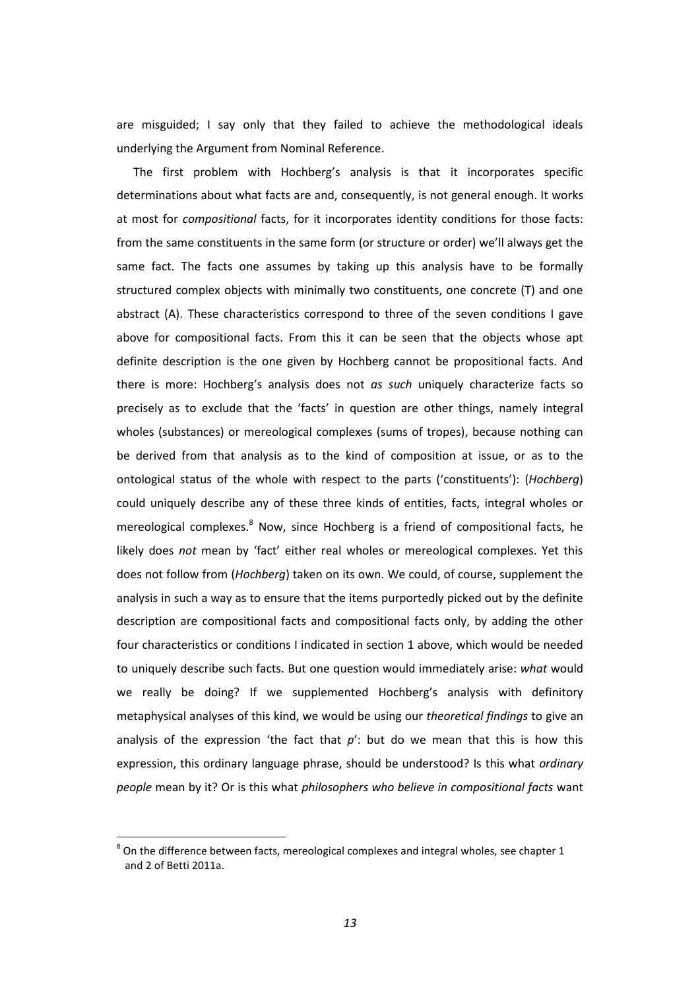are misguided; I say only that they failed to achieve the methodological ideals underlying the Argument from Nominal Reference.

The first problem with Hochberg's analysis is that it incorporates specific determinations about what facts are and, consequently, is not general enough. It works at most for *compositional* facts, for it incorporates identity conditions for those facts: from the same constituents in the same form (or structure or order) we'll always get the same fact. The facts one assumes by taking up this analysis have to be formally structured complex objects with minimally two constituents, one concrete (T) and one abstract (A). These characteristics correspond to three of the seven conditions I gave above for compositional facts. From this it can be seen that the objects whose apt definite description is the one given by Hochberg cannot be propositional facts. And there is more: Hochberg's analysis does not *as such* uniquely characterize facts so precisely as to exclude that the 'facts' in question are other things, namely integral wholes (substances) or mereological complexes (sums of tropes), because nothing can be derived from that analysis as to the kind of composition at issue, or as to the ontological status of the whole with respect to the parts ('constituents'): (*Hochberg*) could uniquely describe any of these three kinds of entities, facts, integral wholes or mereological complexes.<sup>8</sup> Now, since Hochberg is a friend of compositional facts, he likely does *not* mean by 'fact' either real wholes or mereological complexes. Yet this does not follow from (*Hochberg*) taken on its own. We could, of course, supplement the analysis in such a way as to ensure that the items purportedly picked out by the definite description are compositional facts and compositional facts only, by adding the other four characteristics or conditions I indicated in section 1 above, which would be needed to uniquely describe such facts. But one question would immediately arise: *what* would we really be doing? If we supplemented Hochberg's analysis with definitory metaphysical analyses of this kind, we would be using our *theoretical findings* to give an analysis of the expression 'the fact that  $p'$ : but do we mean that this is how this expression, this ordinary language phrase, should be understood? Is this what *ordinary people* mean by it? Or is this what *philosophers who believe in compositional facts* want

 $^8$  On the difference between facts, mereological complexes and integral wholes, see chapter 1 and 2 of Betti 2011a.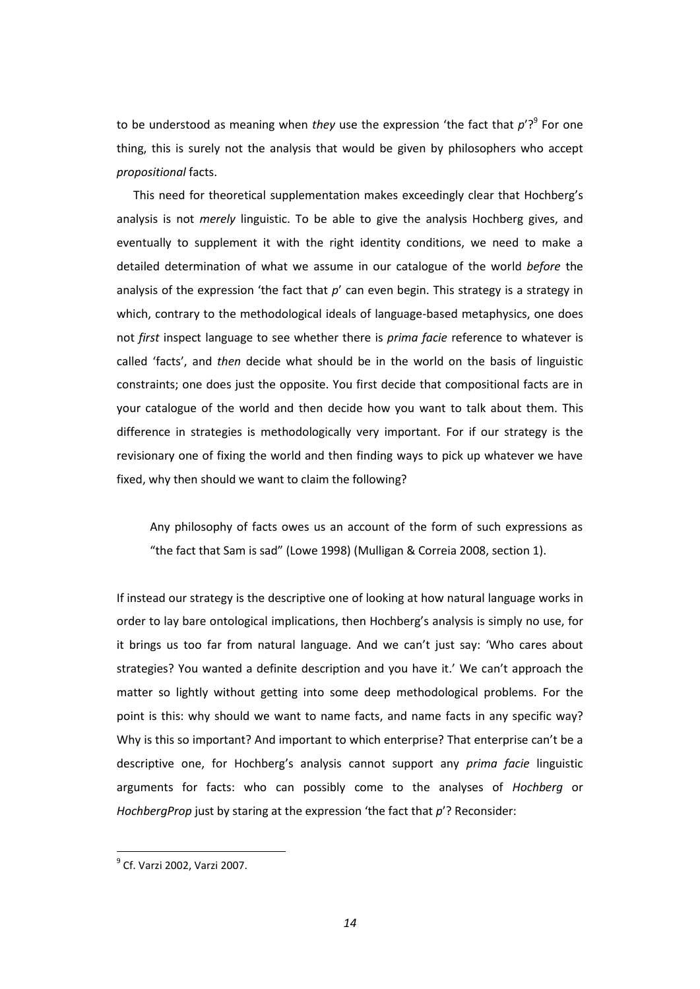to be understood as meaning when *they* use the expression 'the fact that  $p'$ ?<sup>9</sup> For one thing, this is surely not the analysis that would be given by philosophers who accept *propositional* facts.

This need for theoretical supplementation makes exceedingly clear that Hochberg's analysis is not *merely* linguistic. To be able to give the analysis Hochberg gives, and eventually to supplement it with the right identity conditions, we need to make a detailed determination of what we assume in our catalogue of the world *before* the analysis of the expression 'the fact that *p*' can even begin. This strategy is a strategy in which, contrary to the methodological ideals of language-based metaphysics, one does not *first* inspect language to see whether there is *prima facie* reference to whatever is called 'facts', and *then* decide what should be in the world on the basis of linguistic constraints; one does just the opposite. You first decide that compositional facts are in your catalogue of the world and then decide how you want to talk about them. This difference in strategies is methodologically very important. For if our strategy is the revisionary one of fixing the world and then finding ways to pick up whatever we have fixed, why then should we want to claim the following?

Any philosophy of facts owes us an account of the form of such expressions as "the fact that Sam is sad" (Lowe 1998) (Mulligan & Correia 2008, section 1).

If instead our strategy is the descriptive one of looking at how natural language works in order to lay bare ontological implications, then Hochberg's analysis is simply no use, for it brings us too far from natural language. And we can't just say: 'Who cares about strategies? You wanted a definite description and you have it.' We can't approach the matter so lightly without getting into some deep methodological problems. For the point is this: why should we want to name facts, and name facts in any specific way? Why is this so important? And important to which enterprise? That enterprise can't be a descriptive one, for Hochberg's analysis cannot support any *prima facie* linguistic arguments for facts: who can possibly come to the analyses of *Hochberg* or *HochbergProp* just by staring at the expression 'the fact that *p*'? Reconsider:

<sup>&</sup>lt;sup>9</sup> Cf. Varzi 2002, Varzi 2007.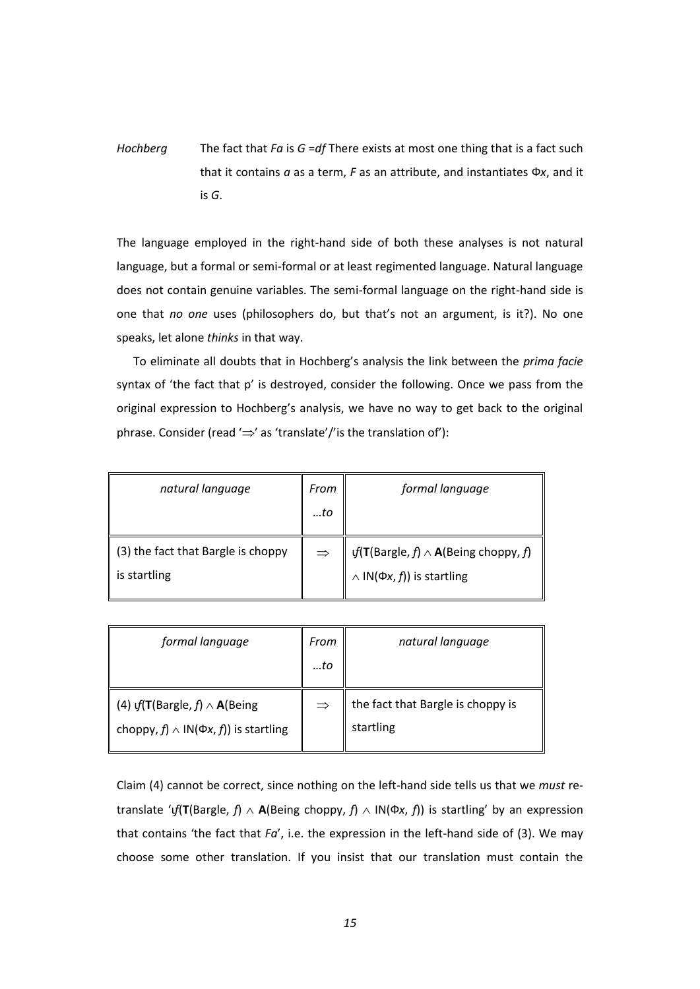*Hochberg* The fact that *Fa* is *G* =*df* There exists at most one thing that is a fact such that it contains *a* as a term, *F* as an attribute, and instantiates Ф*x*, and it is *G*.

The language employed in the right-hand side of both these analyses is not natural language, but a formal or semi-formal or at least regimented language. Natural language does not contain genuine variables. The semi-formal language on the right-hand side is one that *no one* uses (philosophers do, but that's not an argument, is it?). No one speaks, let alone *thinks* in that way.

To eliminate all doubts that in Hochberg's analysis the link between the *prima facie* syntax of 'the fact that p' is destroyed, consider the following. Once we pass from the original expression to Hochberg's analysis, we have no way to get back to the original phrase. Consider (read  $'\Rightarrow'$  as 'translate'/' is the translation of'):

| natural language                                   | From<br>…to   | formal language                                                                                                                          |
|----------------------------------------------------|---------------|------------------------------------------------------------------------------------------------------------------------------------------|
| (3) the fact that Bargle is choppy<br>is startling | $\Rightarrow$ | $\iota f(\mathsf{T}(\mathsf{Bargle}, f) \wedge \mathsf{A}(\mathsf{Being}\,\mathsf{chopy}, f)$<br>$\wedge$ IN( $\Phi$ x, f)) is startling |

| formal language                                                                                                                                | From<br>…to   | natural language                               |
|------------------------------------------------------------------------------------------------------------------------------------------------|---------------|------------------------------------------------|
| (4) $\mathsf{tf}(\mathsf{T}(\mathsf{Bargle}, f) \wedge \mathsf{A}(\mathsf{Being})$<br>choppy, $f$ ) $\land$ IN( $\Phi x$ , $f$ )) is startling | $\Rightarrow$ | the fact that Bargle is choppy is<br>startling |

Claim (4) cannot be correct, since nothing on the left-hand side tells us that we *must* retranslate ' $\iota f(\mathbf{T}(\text{Bargle}, f) \wedge \mathbf{A}(\text{Being chopy}, f) \wedge \mathbf{IN}(\Phi x, f))$  is startling' by an expression that contains 'the fact that *Fa*', i.e. the expression in the left-hand side of (3). We may choose some other translation. If you insist that our translation must contain the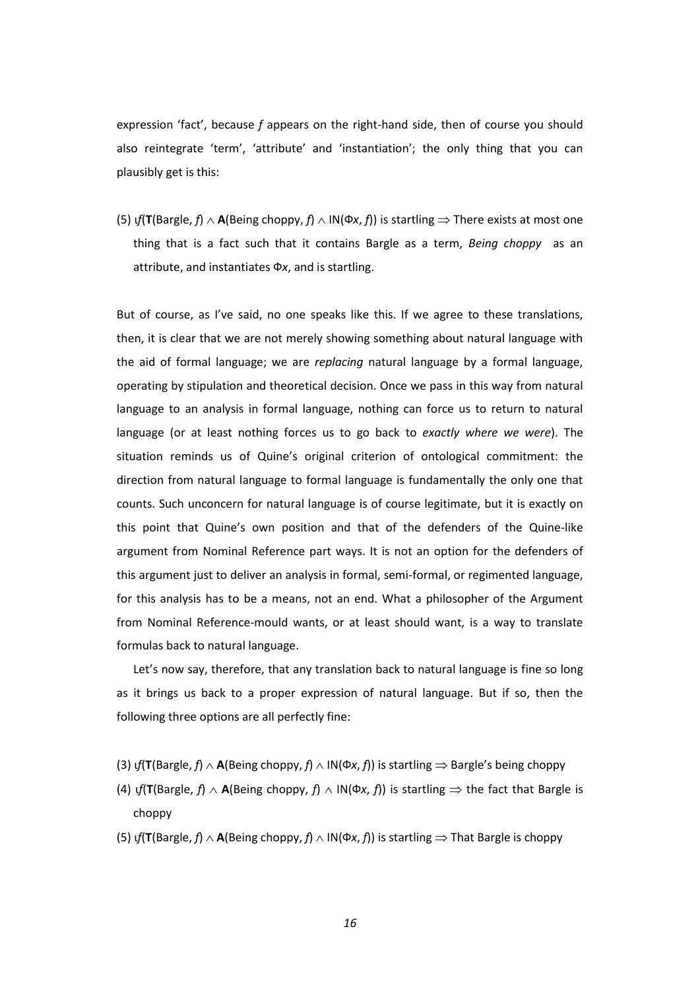expression 'fact', because *f* appears on the right-hand side, then of course you should also reintegrate 'term', 'attribute' and 'instantiation'; the only thing that you can plausibly get is this:

(5)  $\iota$  *f*(**T**(Bargle,  $f$ )  $\wedge$  **A**(Being choppy,  $f$ )  $\wedge$  IN( $\Phi$ *x*,  $f$ )) is startling  $\Rightarrow$  There exists at most one thing that is a fact such that it contains Bargle as a term, *Being choppy* as an attribute, and instantiates Ф*x*, and is startling.

But of course, as I've said, no one speaks like this. If we agree to these translations, then, it is clear that we are not merely showing something about natural language with the aid of formal language; we are *replacing* natural language by a formal language, operating by stipulation and theoretical decision. Once we pass in this way from natural language to an analysis in formal language, nothing can force us to return to natural language (or at least nothing forces us to go back to *exactly where we were*). The situation reminds us of Quine's original criterion of ontological commitment: the direction from natural language to formal language is fundamentally the only one that counts. Such unconcern for natural language is of course legitimate, but it is exactly on this point that Quine's own position and that of the defenders of the Quine-like argument from Nominal Reference part ways. It is not an option for the defenders of this argument just to deliver an analysis in formal, semi-formal, or regimented language, for this analysis has to be a means, not an end. What a philosopher of the Argument from Nominal Reference-mould wants, or at least should want, is a way to translate formulas back to natural language.

Let's now say, therefore, that any translation back to natural language is fine so long as it brings us back to a proper expression of natural language. But if so, then the following three options are all perfectly fine:

- (3)  $\iota$  *f*(**T**(Bargle, *f*)  $\land$  **A**(Being choppy, *f*)  $\land$  IN( $\Phi$ *x*, *f*)) is startling  $\Rightarrow$  Bargle's being choppy
- (4) *if*(**T**(Bargle, *f*)  $\land$  **A**(Being choppy, *f*)  $\land$  IN( $\Phi$ *x*, *f*)) is startling  $\Rightarrow$  the fact that Bargle is choppy
- (5) *if*(**T**(Bargle, *f*)  $\land$  **A**(Being choppy, *f*)  $\land$  IN( $\Phi$ *x*, *f*)) is startling  $\Rightarrow$  That Bargle is choppy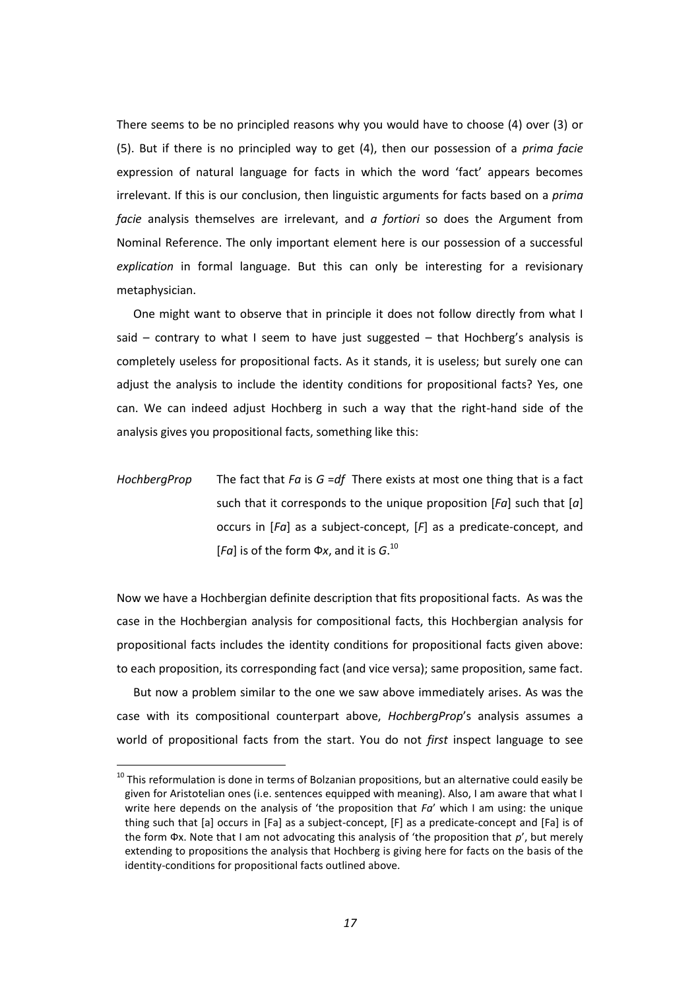There seems to be no principled reasons why you would have to choose (4) over (3) or (5). But if there is no principled way to get (4), then our possession of a *prima facie* expression of natural language for facts in which the word 'fact' appears becomes irrelevant. If this is our conclusion, then linguistic arguments for facts based on a *prima facie* analysis themselves are irrelevant, and *a fortiori* so does the Argument from Nominal Reference. The only important element here is our possession of a successful *explication* in formal language. But this can only be interesting for a revisionary metaphysician.

One might want to observe that in principle it does not follow directly from what I said  $-$  contrary to what I seem to have just suggested  $-$  that Hochberg's analysis is completely useless for propositional facts. As it stands, it is useless; but surely one can adjust the analysis to include the identity conditions for propositional facts? Yes, one can. We can indeed adjust Hochberg in such a way that the right-hand side of the analysis gives you propositional facts, something like this:

*HochbergProp* The fact that *Fa* is *G* = *df* There exists at most one thing that is a fact such that it corresponds to the unique proposition [*Fa*] such that [*a*] occurs in [*Fa*] as a subject-concept, [*F*] as a predicate-concept, and [*Fa*] is of the form Ф*x*, and it is *G*. 10

Now we have a Hochbergian definite description that fits propositional facts. As was the case in the Hochbergian analysis for compositional facts, this Hochbergian analysis for propositional facts includes the identity conditions for propositional facts given above: to each proposition, its corresponding fact (and vice versa); same proposition, same fact.

But now a problem similar to the one we saw above immediately arises. As was the case with its compositional counterpart above, *HochbergProp*'s analysis assumes a world of propositional facts from the start. You do not *first* inspect language to see

 $^{10}$  This reformulation is done in terms of Bolzanian propositions, but an alternative could easily be given for Aristotelian ones (i.e. sentences equipped with meaning). Also, I am aware that what I write here depends on the analysis of 'the proposition that *Fa*' which I am using: the unique thing such that [a] occurs in [Fa] as a subject-concept, [F] as a predicate-concept and [Fa] is of the form Фx. Note that I am not advocating this analysis of 'the proposition that *p*', but merely extending to propositions the analysis that Hochberg is giving here for facts on the basis of the identity-conditions for propositional facts outlined above.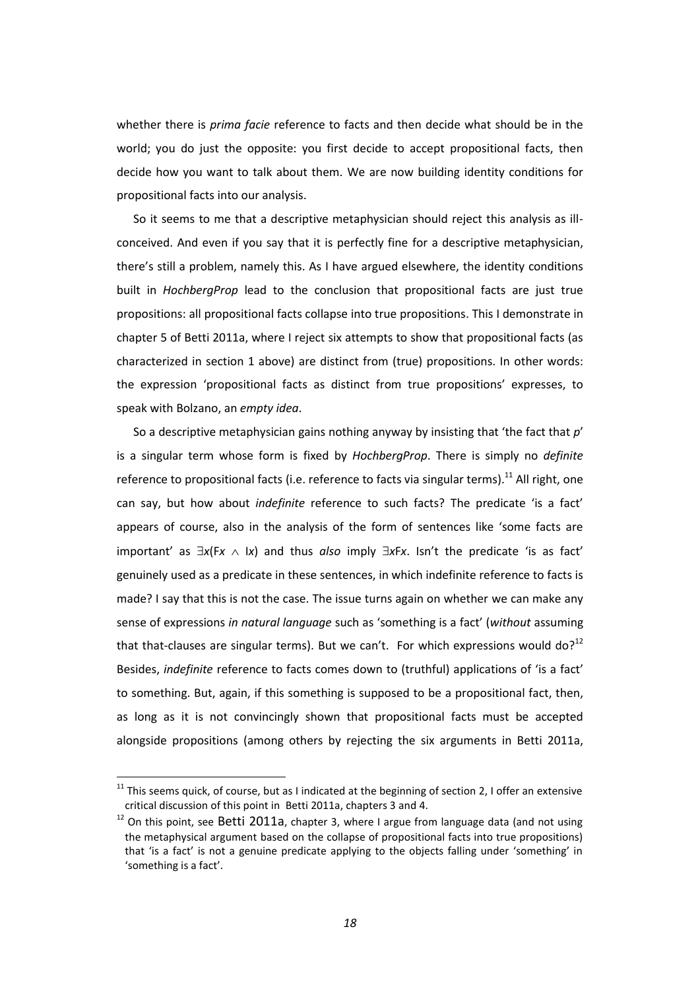whether there is *prima facie* reference to facts and then decide what should be in the world; you do just the opposite: you first decide to accept propositional facts, then decide how you want to talk about them. We are now building identity conditions for propositional facts into our analysis.

So it seems to me that a descriptive metaphysician should reject this analysis as illconceived. And even if you say that it is perfectly fine for a descriptive metaphysician, there's still a problem, namely this. As I have argued elsewhere, the identity conditions built in *HochbergProp* lead to the conclusion that propositional facts are just true propositions: all propositional facts collapse into true propositions. This I demonstrate in chapter 5 of Betti 2011a, where I reject six attempts to show that propositional facts (as characterized in section 1 above) are distinct from (true) propositions. In other words: the expression 'propositional facts as distinct from true propositions' expresses, to speak with Bolzano, an *empty idea*.

So a descriptive metaphysician gains nothing anyway by insisting that 'the fact that *p*' is a singular term whose form is fixed by *HochbergProp*. There is simply no *definite* reference to propositional facts (i.e. reference to facts via singular terms).<sup>11</sup> All right, one can say, but how about *indefinite* reference to such facts? The predicate 'is a fact' appears of course, also in the analysis of the form of sentences like 'some facts are important' as  $\exists x (Fx \land \exists x)$  and thus *also* imply  $\exists xFx$ . Isn't the predicate 'is as fact' genuinely used as a predicate in these sentences, in which indefinite reference to facts is made? I say that this is not the case. The issue turns again on whether we can make any sense of expressions *in natural language* such as 'something is a fact' (*without* assuming that that-clauses are singular terms). But we can't. For which expressions would do? $12$ Besides, *indefinite* reference to facts comes down to (truthful) applications of 'is a fact' to something. But, again, if this something is supposed to be a propositional fact, then, as long as it is not convincingly shown that propositional facts must be accepted alongside propositions (among others by rejecting the six arguments in Betti 2011a,

 $11$  This seems quick, of course, but as I indicated at the beginning of section 2, I offer an extensive critical discussion of this point in Betti 2011a, chapters 3 and 4.

 $12$  On this point, see Betti 2011a, chapter 3, where I argue from language data (and not using the metaphysical argument based on the collapse of propositional facts into true propositions) that 'is a fact' is not a genuine predicate applying to the objects falling under 'something' in 'something is a fact'.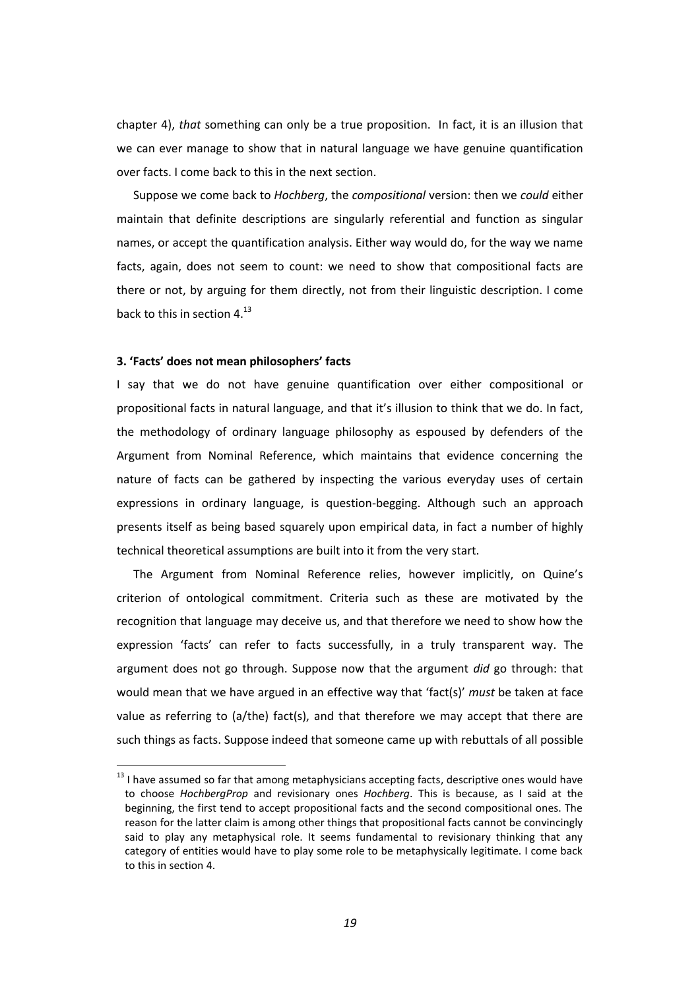chapter 4), *that* something can only be a true proposition. In fact, it is an illusion that we can ever manage to show that in natural language we have genuine quantification over facts. I come back to this in the next section.

Suppose we come back to *Hochberg*, the *compositional* version: then we *could* either maintain that definite descriptions are singularly referential and function as singular names, or accept the quantification analysis. Either way would do, for the way we name facts, again, does not seem to count: we need to show that compositional facts are there or not, by arguing for them directly, not from their linguistic description. I come back to this in section 4.<sup>13</sup>

#### **3. 'Facts' does not mean philosophers' facts**

 $\overline{a}$ 

I say that we do not have genuine quantification over either compositional or propositional facts in natural language, and that it's illusion to think that we do. In fact, the methodology of ordinary language philosophy as espoused by defenders of the Argument from Nominal Reference, which maintains that evidence concerning the nature of facts can be gathered by inspecting the various everyday uses of certain expressions in ordinary language, is question-begging. Although such an approach presents itself as being based squarely upon empirical data, in fact a number of highly technical theoretical assumptions are built into it from the very start.

The Argument from Nominal Reference relies, however implicitly, on Quine's criterion of ontological commitment. Criteria such as these are motivated by the recognition that language may deceive us, and that therefore we need to show how the expression 'facts' can refer to facts successfully, in a truly transparent way. The argument does not go through. Suppose now that the argument *did* go through: that would mean that we have argued in an effective way that 'fact(s)' *must* be taken at face value as referring to (a/the) fact(s), and that therefore we may accept that there are such things as facts. Suppose indeed that someone came up with rebuttals of all possible

 $13$  I have assumed so far that among metaphysicians accepting facts, descriptive ones would have to choose *HochbergProp* and revisionary ones *Hochberg*. This is because, as I said at the beginning, the first tend to accept propositional facts and the second compositional ones. The reason for the latter claim is among other things that propositional facts cannot be convincingly said to play any metaphysical role. It seems fundamental to revisionary thinking that any category of entities would have to play some role to be metaphysically legitimate. I come back to this in section 4.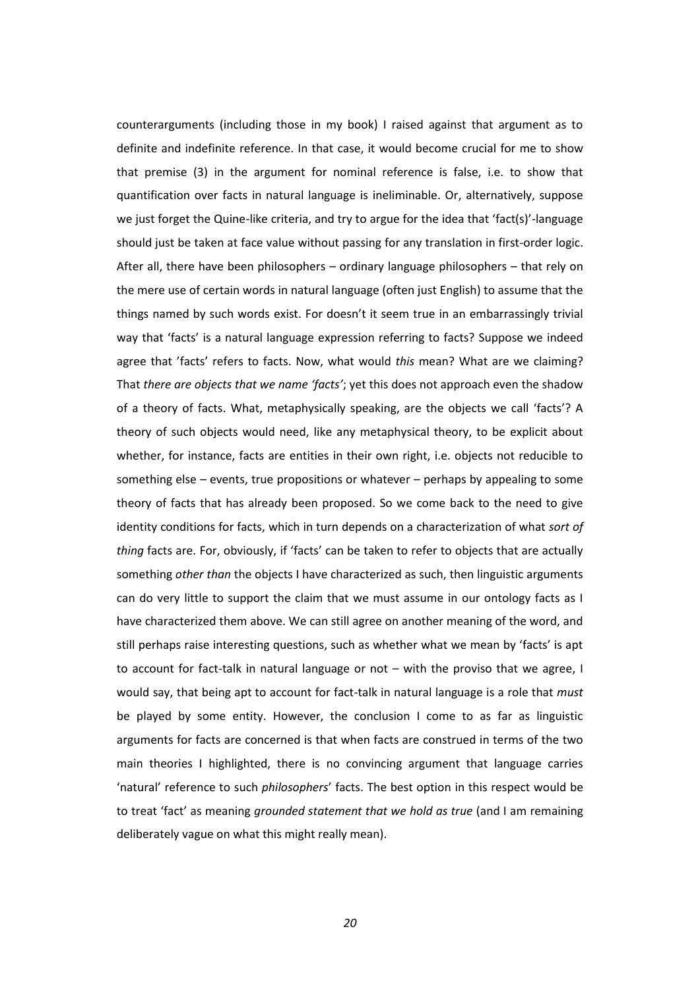counterarguments (including those in my book) I raised against that argument as to definite and indefinite reference. In that case, it would become crucial for me to show that premise (3) in the argument for nominal reference is false, i.e. to show that quantification over facts in natural language is ineliminable. Or, alternatively, suppose we just forget the Quine-like criteria, and try to argue for the idea that 'fact(s)'-language should just be taken at face value without passing for any translation in first-order logic. After all, there have been philosophers – ordinary language philosophers – that rely on the mere use of certain words in natural language (often just English) to assume that the things named by such words exist. For doesn't it seem true in an embarrassingly trivial way that 'facts' is a natural language expression referring to facts? Suppose we indeed agree that 'facts' refers to facts. Now, what would *this* mean? What are we claiming? That *there are objects that we name 'facts'*; yet this does not approach even the shadow of a theory of facts. What, metaphysically speaking, are the objects we call 'facts'? A theory of such objects would need, like any metaphysical theory, to be explicit about whether, for instance, facts are entities in their own right, i.e. objects not reducible to something else – events, true propositions or whatever – perhaps by appealing to some theory of facts that has already been proposed. So we come back to the need to give identity conditions for facts, which in turn depends on a characterization of what *sort of thing* facts are. For, obviously, if 'facts' can be taken to refer to objects that are actually something *other than* the objects I have characterized as such, then linguistic arguments can do very little to support the claim that we must assume in our ontology facts as I have characterized them above. We can still agree on another meaning of the word, and still perhaps raise interesting questions, such as whether what we mean by 'facts' is apt to account for fact-talk in natural language or not – with the proviso that we agree, I would say, that being apt to account for fact-talk in natural language is a role that *must* be played by some entity. However, the conclusion I come to as far as linguistic arguments for facts are concerned is that when facts are construed in terms of the two main theories I highlighted, there is no convincing argument that language carries 'natural' reference to such *philosophers*' facts. The best option in this respect would be to treat 'fact' as meaning *grounded statement that we hold as true* (and I am remaining deliberately vague on what this might really mean).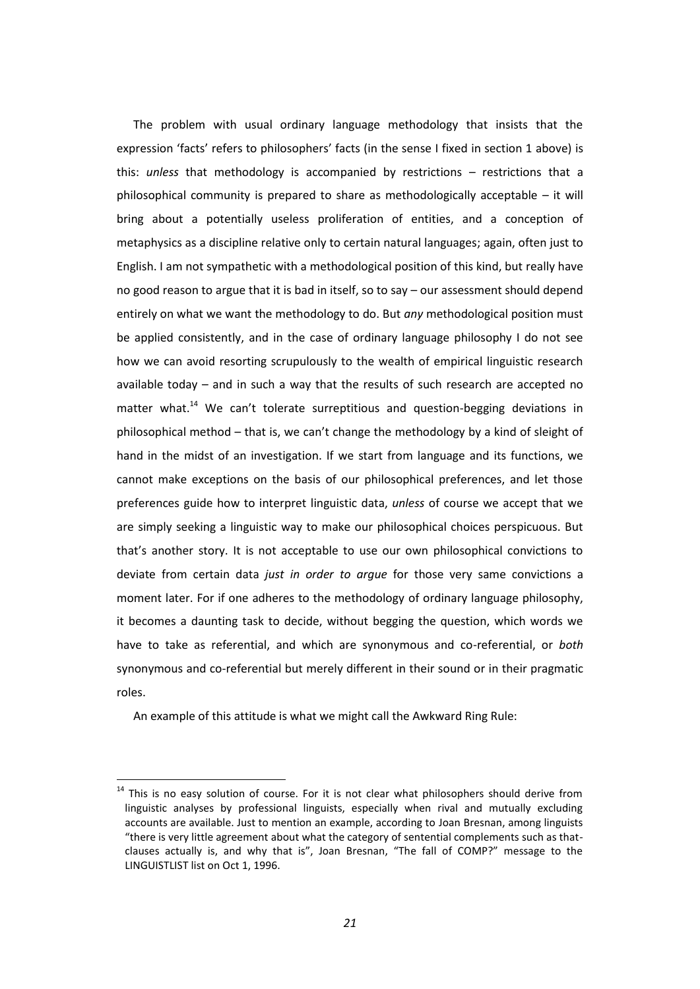The problem with usual ordinary language methodology that insists that the expression 'facts' refers to philosophers' facts (in the sense I fixed in section 1 above) is this: *unless* that methodology is accompanied by restrictions – restrictions that a philosophical community is prepared to share as methodologically acceptable – it will bring about a potentially useless proliferation of entities, and a conception of metaphysics as a discipline relative only to certain natural languages; again, often just to English. I am not sympathetic with a methodological position of this kind, but really have no good reason to argue that it is bad in itself, so to say – our assessment should depend entirely on what we want the methodology to do. But *any* methodological position must be applied consistently, and in the case of ordinary language philosophy I do not see how we can avoid resorting scrupulously to the wealth of empirical linguistic research available today – and in such a way that the results of such research are accepted no matter what.<sup>14</sup> We can't tolerate surreptitious and question-begging deviations in philosophical method – that is, we can't change the methodology by a kind of sleight of hand in the midst of an investigation. If we start from language and its functions, we cannot make exceptions on the basis of our philosophical preferences, and let those preferences guide how to interpret linguistic data, *unless* of course we accept that we are simply seeking a linguistic way to make our philosophical choices perspicuous. But that's another story. It is not acceptable to use our own philosophical convictions to deviate from certain data *just in order to argue* for those very same convictions a moment later. For if one adheres to the methodology of ordinary language philosophy, it becomes a daunting task to decide, without begging the question, which words we have to take as referential, and which are synonymous and co-referential, or *both* synonymous and co-referential but merely different in their sound or in their pragmatic roles.

An example of this attitude is what we might call the Awkward Ring Rule:

<sup>&</sup>lt;sup>14</sup> This is no easy solution of course. For it is not clear what philosophers should derive from linguistic analyses by professional linguists, especially when rival and mutually excluding accounts are available. Just to mention an example, according to Joan Bresnan, among linguists "there is very little agreement about what the category of sentential complements such as thatclauses actually is, and why that is", Joan Bresnan, "The fall of COMP?" message to the LINGUISTLIST list on Oct 1, 1996.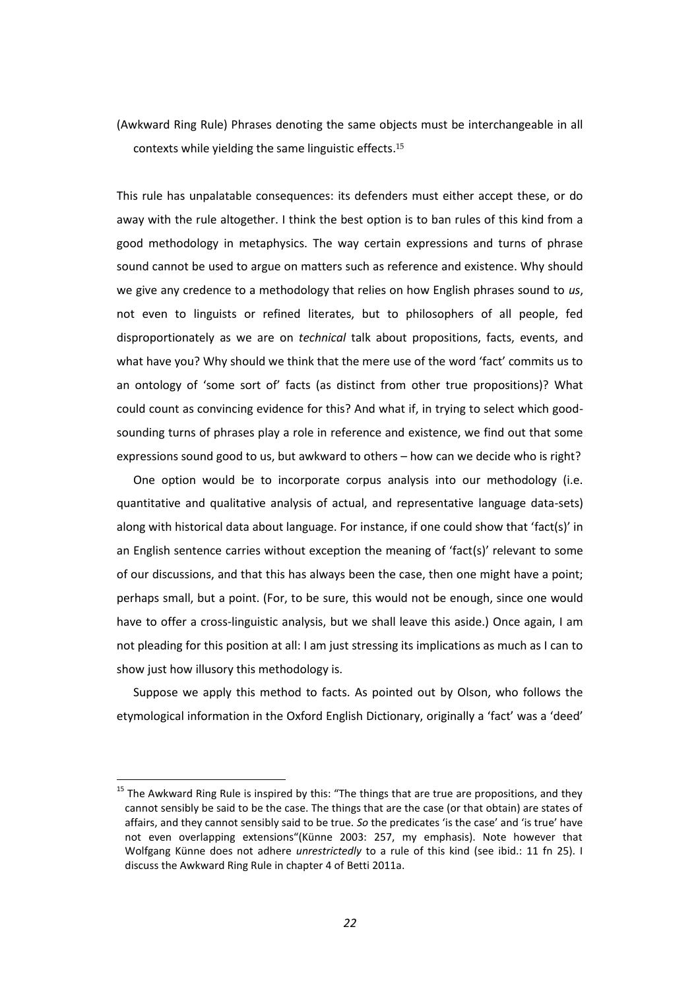(Awkward Ring Rule) Phrases denoting the same objects must be interchangeable in all contexts while yielding the same linguistic effects. 15

This rule has unpalatable consequences: its defenders must either accept these, or do away with the rule altogether. I think the best option is to ban rules of this kind from a good methodology in metaphysics. The way certain expressions and turns of phrase sound cannot be used to argue on matters such as reference and existence. Why should we give any credence to a methodology that relies on how English phrases sound to *us*, not even to linguists or refined literates, but to philosophers of all people, fed disproportionately as we are on *technical* talk about propositions, facts, events, and what have you? Why should we think that the mere use of the word 'fact' commits us to an ontology of 'some sort of' facts (as distinct from other true propositions)? What could count as convincing evidence for this? And what if, in trying to select which goodsounding turns of phrases play a role in reference and existence, we find out that some expressions sound good to us, but awkward to others – how can we decide who is right?

One option would be to incorporate corpus analysis into our methodology (i.e. quantitative and qualitative analysis of actual, and representative language data-sets) along with historical data about language. For instance, if one could show that 'fact(s)' in an English sentence carries without exception the meaning of 'fact(s)' relevant to some of our discussions, and that this has always been the case, then one might have a point; perhaps small, but a point. (For, to be sure, this would not be enough, since one would have to offer a cross-linguistic analysis, but we shall leave this aside.) Once again, I am not pleading for this position at all: I am just stressing its implications as much as I can to show just how illusory this methodology is.

Suppose we apply this method to facts. As pointed out by Olson, who follows the etymological information in the Oxford English Dictionary, originally a 'fact' was a 'deed'

<sup>&</sup>lt;sup>15</sup> The Awkward Ring Rule is inspired by this: "The things that are true are propositions, and they cannot sensibly be said to be the case. The things that are the case (or that obtain) are states of affairs, and they cannot sensibly said to be true. *So* the predicates 'is the case' and 'is true' have not even overlapping extensions"(Künne 2003: 257, my emphasis). Note however that Wolfgang Künne does not adhere *unrestrictedly* to a rule of this kind (see ibid.: 11 fn 25). I discuss the Awkward Ring Rule in chapter 4 of Betti 2011a.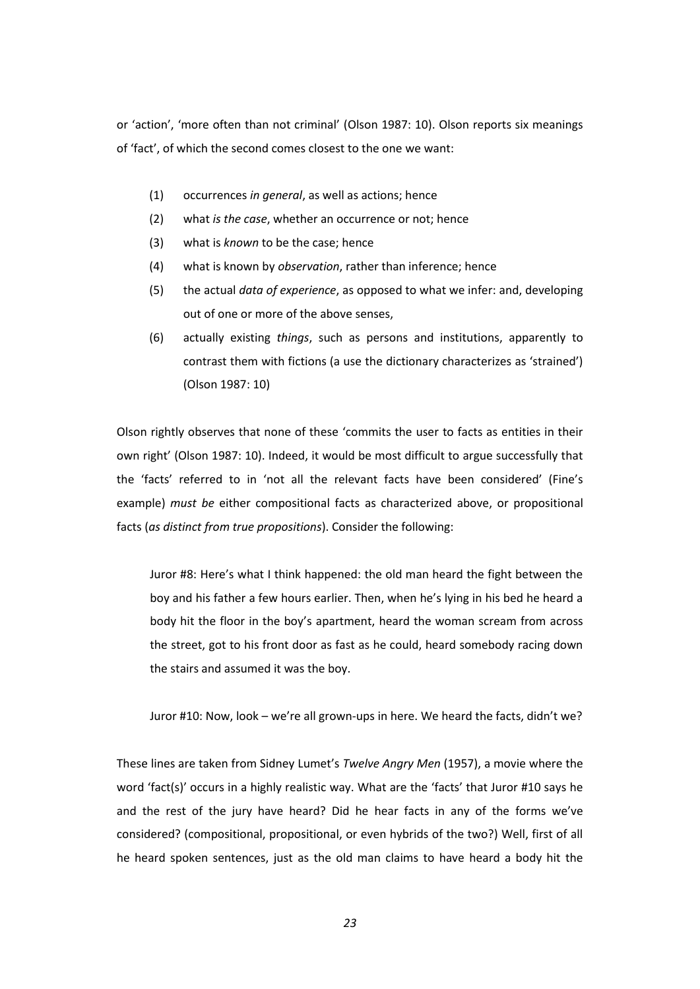or 'action', 'more often than not criminal' (Olson 1987: 10). Olson reports six meanings of 'fact', of which the second comes closest to the one we want:

- (1) occurrences *in general*, as well as actions; hence
- (2) what *is the case*, whether an occurrence or not; hence
- (3) what is *known* to be the case; hence
- (4) what is known by *observation*, rather than inference; hence
- (5) the actual *data of experience*, as opposed to what we infer: and, developing out of one or more of the above senses,
- (6) actually existing *things*, such as persons and institutions, apparently to contrast them with fictions (a use the dictionary characterizes as 'strained') (Olson 1987: 10)

Olson rightly observes that none of these 'commits the user to facts as entities in their own right' (Olson 1987: 10). Indeed, it would be most difficult to argue successfully that the 'facts' referred to in 'not all the relevant facts have been considered' (Fine's example) *must be* either compositional facts as characterized above, or propositional facts (*as distinct from true propositions*). Consider the following:

Juror #8: Here's what I think happened: the old man heard the fight between the boy and his father a few hours earlier. Then, when he's lying in his bed he heard a body hit the floor in the boy's apartment, heard the woman scream from across the street, got to his front door as fast as he could, heard somebody racing down the stairs and assumed it was the boy.

Juror #10: Now, look – we're all grown-ups in here. We heard the facts, didn't we?

These lines are taken from Sidney Lumet's *Twelve Angry Men* (1957), a movie where the word 'fact(s)' occurs in a highly realistic way. What are the 'facts' that Juror #10 says he and the rest of the jury have heard? Did he hear facts in any of the forms we've considered? (compositional, propositional, or even hybrids of the two?) Well, first of all he heard spoken sentences, just as the old man claims to have heard a body hit the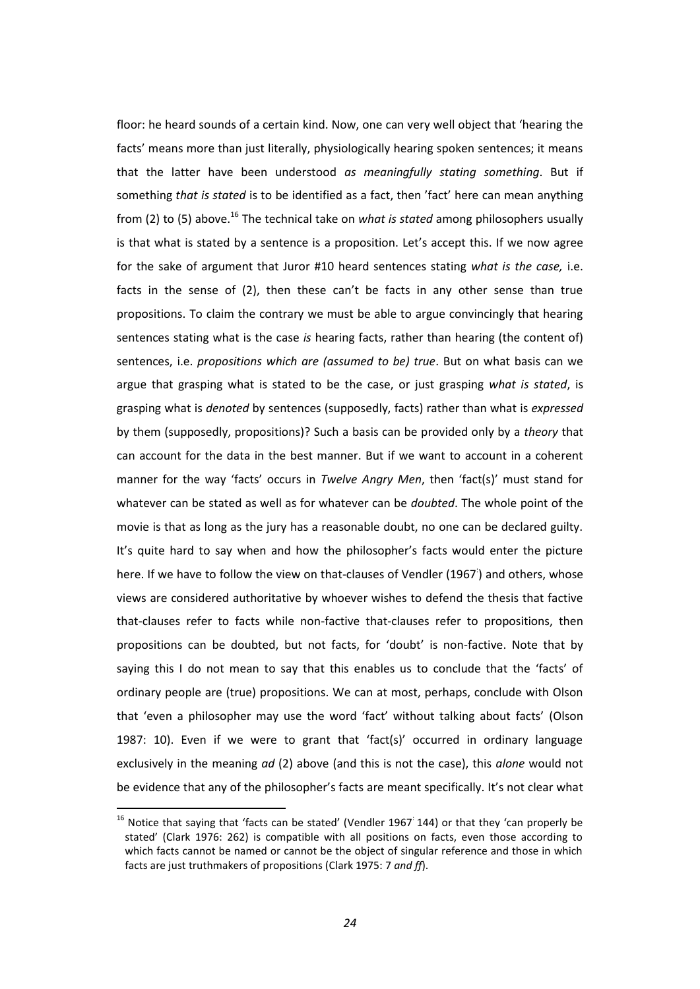floor: he heard sounds of a certain kind. Now, one can very well object that 'hearing the facts' means more than just literally, physiologically hearing spoken sentences; it means that the latter have been understood *as meaningfully stating something*. But if something *that is stated* is to be identified as a fact, then 'fact' here can mean anything from (2) to (5) above.<sup>16</sup> The technical take on *what is stated* among philosophers usually is that what is stated by a sentence is a proposition. Let's accept this. If we now agree for the sake of argument that Juror #10 heard sentences stating *what is the case,* i.e. facts in the sense of (2), then these can't be facts in any other sense than true propositions. To claim the contrary we must be able to argue convincingly that hearing sentences stating what is the case *is* hearing facts, rather than hearing (the content of) sentences, i.e. *propositions which are (assumed to be) true*. But on what basis can we argue that grasping what is stated to be the case, or just grasping *what is stated*, is grasping what is *denoted* by sentences (supposedly, facts) rather than what is *expressed*  by them (supposedly, propositions)? Such a basis can be provided only by a *theory* that can account for the data in the best manner. But if we want to account in a coherent manner for the way 'facts' occurs in *Twelve Angry Men*, then 'fact(s)' must stand for whatever can be stated as well as for whatever can be *doubted*. The whole point of the movie is that as long as the jury has a reasonable doubt, no one can be declared guilty. It's quite hard to say when and how the philosopher's facts would enter the picture here. If we have to follow the view on that-clauses of Vendler (1967<sup>'</sup>) and others, whose views are considered authoritative by whoever wishes to defend the thesis that factive that-clauses refer to facts while non-factive that-clauses refer to propositions, then propositions can be doubted, but not facts, for 'doubt' is non-factive. Note that by saying this I do not mean to say that this enables us to conclude that the 'facts' of ordinary people are (true) propositions. We can at most, perhaps, conclude with Olson that 'even a philosopher may use the word 'fact' without talking about facts' (Olson 1987: 10). Even if we were to grant that 'fact(s)' occurred in ordinary language exclusively in the meaning *ad* (2) above (and this is not the case), this *alone* would not be evidence that any of the philosopher's facts are meant specifically. It's not clear what

 $16$  Notice that saying that 'facts can be stated' (Vendler 1967 144) or that they 'can properly be stated' (Clark 1976: 262) is compatible with all positions on facts, even those according to which facts cannot be named or cannot be the object of singular reference and those in which facts are just truthmakers of propositions (Clark 1975: 7 *and ff*).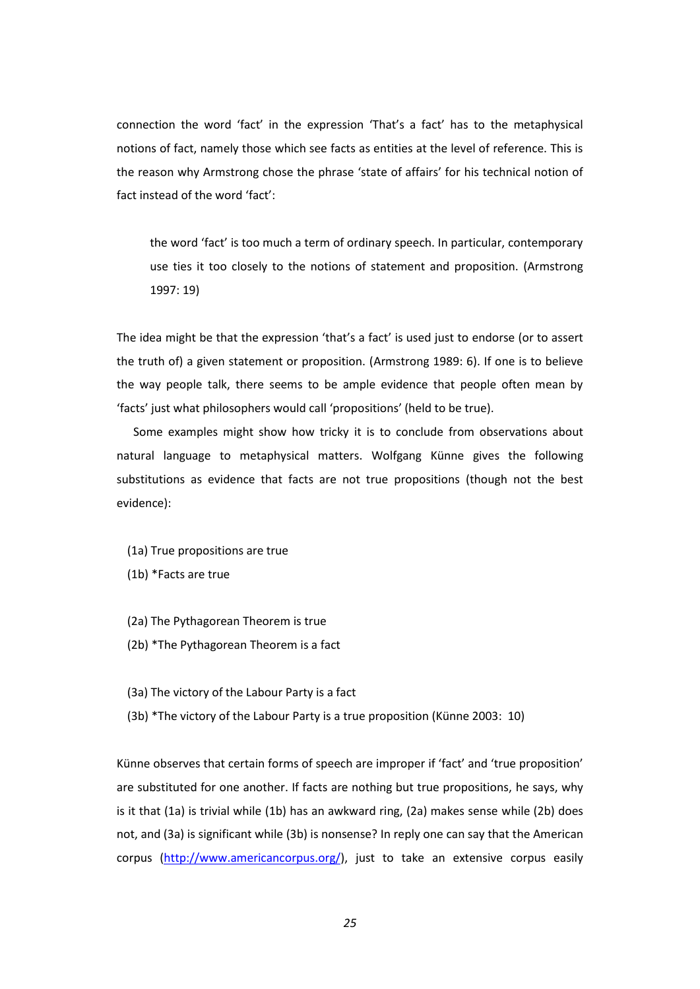connection the word 'fact' in the expression 'That's a fact' has to the metaphysical notions of fact, namely those which see facts as entities at the level of reference. This is the reason why Armstrong chose the phrase 'state of affairs' for his technical notion of fact instead of the word 'fact':

the word 'fact' is too much a term of ordinary speech. In particular, contemporary use ties it too closely to the notions of statement and proposition. (Armstrong 1997: 19)

The idea might be that the expression 'that's a fact' is used just to endorse (or to assert the truth of) a given statement or proposition. (Armstrong 1989: 6). If one is to believe the way people talk, there seems to be ample evidence that people often mean by 'facts' just what philosophers would call 'propositions' (held to be true).

Some examples might show how tricky it is to conclude from observations about natural language to metaphysical matters. Wolfgang Künne gives the following substitutions as evidence that facts are not true propositions (though not the best evidence):

- (1a) True propositions are true
- (1b) \*Facts are true
- (2a) The Pythagorean Theorem is true
- (2b) \*The Pythagorean Theorem is a fact
- (3a) The victory of the Labour Party is a fact
- (3b) \*The victory of the Labour Party is a true proposition (Künne 2003: 10)

Künne observes that certain forms of speech are improper if 'fact' and 'true proposition' are substituted for one another. If facts are nothing but true propositions, he says, why is it that (1a) is trivial while (1b) has an awkward ring, (2a) makes sense while (2b) does not, and (3a) is significant while (3b) is nonsense? In reply one can say that the American corpus [\(http://www.americancorpus.org/\)](http://www.americancorpus.org/), just to take an extensive corpus easily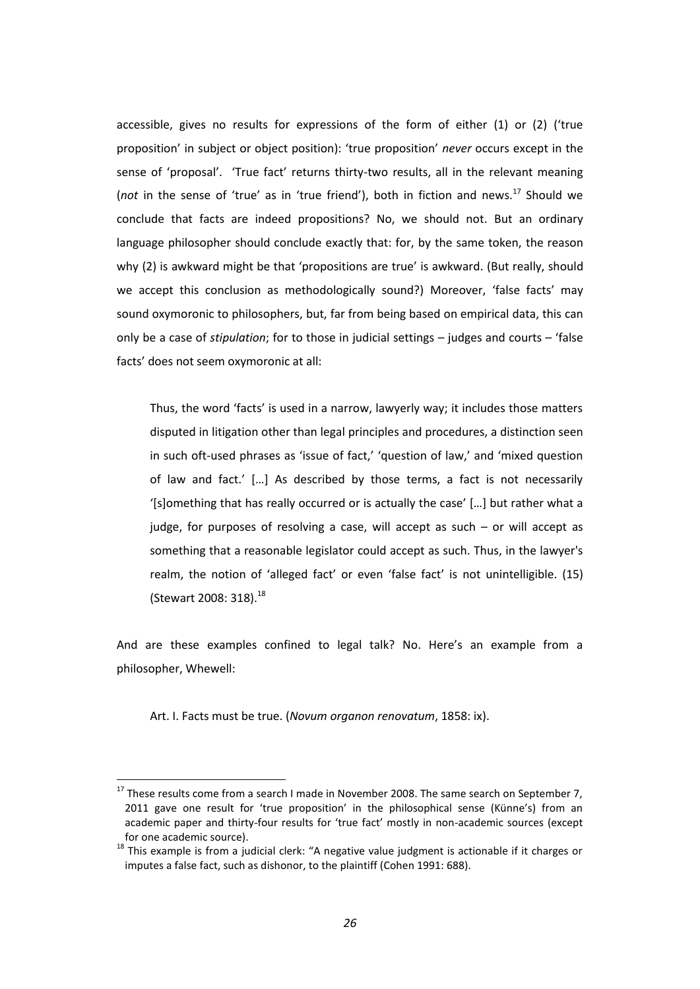accessible, gives no results for expressions of the form of either (1) or (2) ('true proposition' in subject or object position): 'true proposition' *never* occurs except in the sense of 'proposal'. 'True fact' returns thirty-two results, all in the relevant meaning (*not* in the sense of 'true' as in 'true friend'), both in fiction and news.<sup>17</sup> Should we conclude that facts are indeed propositions? No, we should not. But an ordinary language philosopher should conclude exactly that: for, by the same token, the reason why (2) is awkward might be that 'propositions are true' is awkward. (But really, should we accept this conclusion as methodologically sound?) Moreover, 'false facts' may sound oxymoronic to philosophers, but, far from being based on empirical data, this can only be a case of *stipulation*; for to those in judicial settings – judges and courts – 'false facts' does not seem oxymoronic at all:

Thus, the word 'facts' is used in a narrow, lawyerly way; it includes those matters disputed in litigation other than legal principles and procedures, a distinction seen in such oft-used phrases as 'issue of fact,' 'question of law,' and 'mixed question of law and fact.' […] As described by those terms, a fact is not necessarily '[s]omething that has really occurred or is actually the case' […] but rather what a judge, for purposes of resolving a case, will accept as such – or will accept as something that a reasonable legislator could accept as such. Thus, in the lawyer's realm, the notion of 'alleged fact' or even 'false fact' is not unintelligible. (15) (Stewart 2008: 318). 18

And are these examples confined to legal talk? No. Here's an example from a philosopher, Whewell:

Art. I. Facts must be true. (*Novum organon renovatum*, 1858: ix).

 $17$  These results come from a search I made in November 2008. The same search on September 7, 2011 gave one result for 'true proposition' in the philosophical sense (Künne's) from an academic paper and thirty-four results for 'true fact' mostly in non-academic sources (except for one academic source).

 $18$  This example is from a judicial clerk: "A negative value judgment is actionable if it charges or imputes a false fact, such as dishonor, to the plaintiff (Cohen 1991: 688).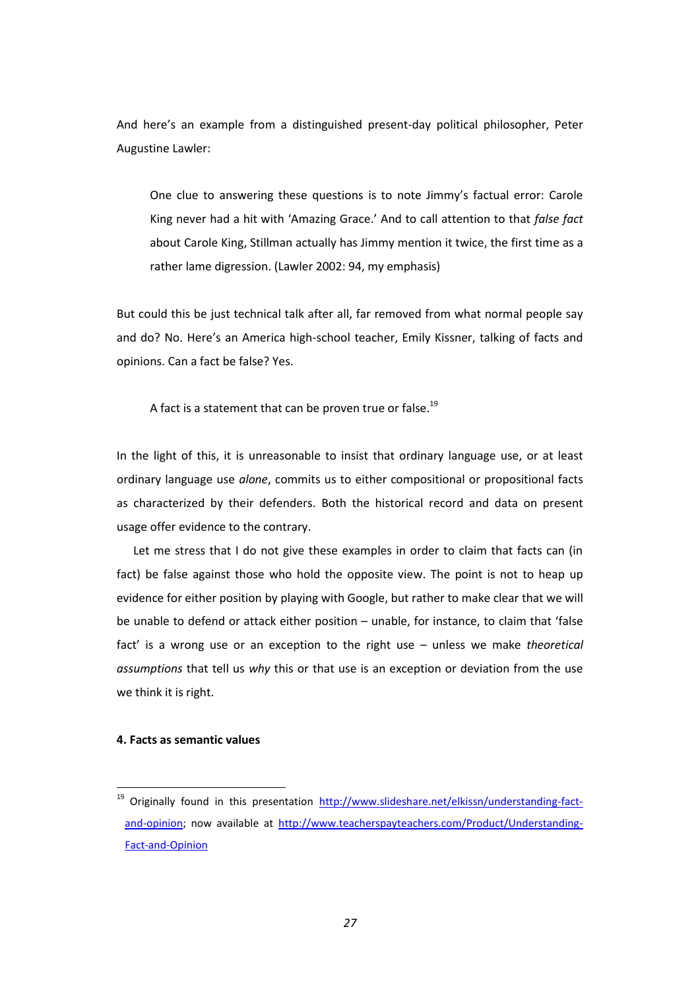And here's an example from a distinguished present-day political philosopher, Peter Augustine Lawler:

One clue to answering these questions is to note Jimmy's factual error: Carole King never had a hit with 'Amazing Grace.' And to call attention to that *false fact* about Carole King, Stillman actually has Jimmy mention it twice, the first time as a rather lame digression. (Lawler 2002: 94, my emphasis)

But could this be just technical talk after all, far removed from what normal people say and do? No. Here's an America high-school teacher, Emily Kissner, talking of facts and opinions. Can a fact be false? Yes.

A fact is a statement that can be proven true or false.<sup>19</sup>

In the light of this, it is unreasonable to insist that ordinary language use, or at least ordinary language use *alone*, commits us to either compositional or propositional facts as characterized by their defenders. Both the historical record and data on present usage offer evidence to the contrary.

Let me stress that I do not give these examples in order to claim that facts can (in fact) be false against those who hold the opposite view. The point is not to heap up evidence for either position by playing with Google, but rather to make clear that we will be unable to defend or attack either position – unable, for instance, to claim that 'false fact' is a wrong use or an exception to the right use – unless we make *theoretical assumptions* that tell us *why* this or that use is an exception or deviation from the use we think it is right.

## **4. Facts as semantic values**

<sup>&</sup>lt;sup>19</sup> Originally found in this presentation [http://www.slideshare.net/elkissn/understanding-fact](http://www.slideshare.net/elkissn/understanding-fact-and-opinion)[and-opinion;](http://www.slideshare.net/elkissn/understanding-fact-and-opinion) now available at [http://www.teacherspayteachers.com/Product/Understanding-](http://www.teacherspayteachers.com/Product/Understanding-Fact-and-Opinion)[Fact-and-Opinion](http://www.teacherspayteachers.com/Product/Understanding-Fact-and-Opinion)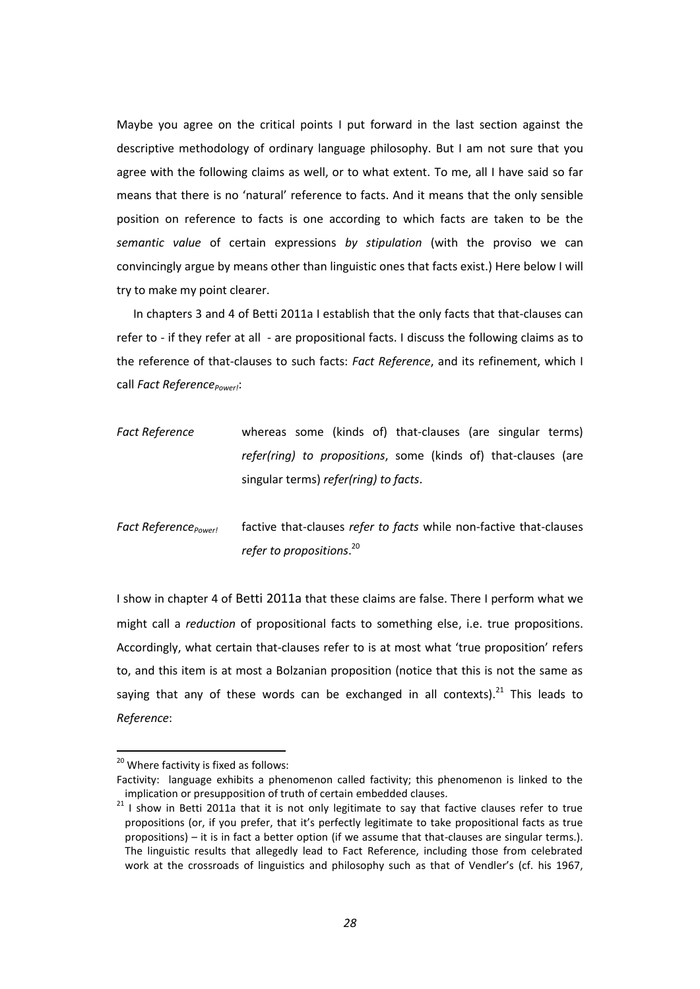Maybe you agree on the critical points I put forward in the last section against the descriptive methodology of ordinary language philosophy. But I am not sure that you agree with the following claims as well, or to what extent. To me, all I have said so far means that there is no 'natural' reference to facts. And it means that the only sensible position on reference to facts is one according to which facts are taken to be the *semantic value* of certain expressions *by stipulation* (with the proviso we can convincingly argue by means other than linguistic ones that facts exist.) Here below I will try to make my point clearer.

In chapters 3 and 4 of Betti 2011a I establish that the only facts that that-clauses can refer to - if they refer at all - are propositional facts. I discuss the following claims as to the reference of that-clauses to such facts: *Fact Reference*, and its refinement, which I call *Fact ReferencePower!*:

| <b>Fact Reference</b> | whereas some (kinds of) that-clauses (are singular terms)                     |  |  |  |  |  |  |  |
|-----------------------|-------------------------------------------------------------------------------|--|--|--|--|--|--|--|
|                       | <i>refer(ring)</i> to <i>propositions</i> , some (kinds of) that-clauses (are |  |  |  |  |  |  |  |
|                       | singular terms) refer(ring) to facts.                                         |  |  |  |  |  |  |  |

## *Fact ReferencePower!* factive that-clauses *refer to facts* while non-factive that-clauses *refer to propositions*. 20

I show in chapter 4 of Betti 2011a that these claims are false. There I perform what we might call a *reduction* of propositional facts to something else, i.e. true propositions. Accordingly, what certain that-clauses refer to is at most what 'true proposition' refers to, and this item is at most a Bolzanian proposition (notice that this is not the same as saying that any of these words can be exchanged in all contexts).<sup>21</sup> This leads to *Reference*:

<sup>&</sup>lt;sup>20</sup> Where factivity is fixed as follows:

Factivity: language exhibits a phenomenon called factivity; this phenomenon is linked to the implication or presupposition of truth of certain embedded clauses.

 $21$  I show in Betti 2011a that it is not only legitimate to say that factive clauses refer to true propositions (or, if you prefer, that it's perfectly legitimate to take propositional facts as true propositions) – it is in fact a better option (if we assume that that-clauses are singular terms.). The linguistic results that allegedly lead to Fact Reference, including those from celebrated work at the crossroads of linguistics and philosophy such as that of Vendler's (cf. his 1967,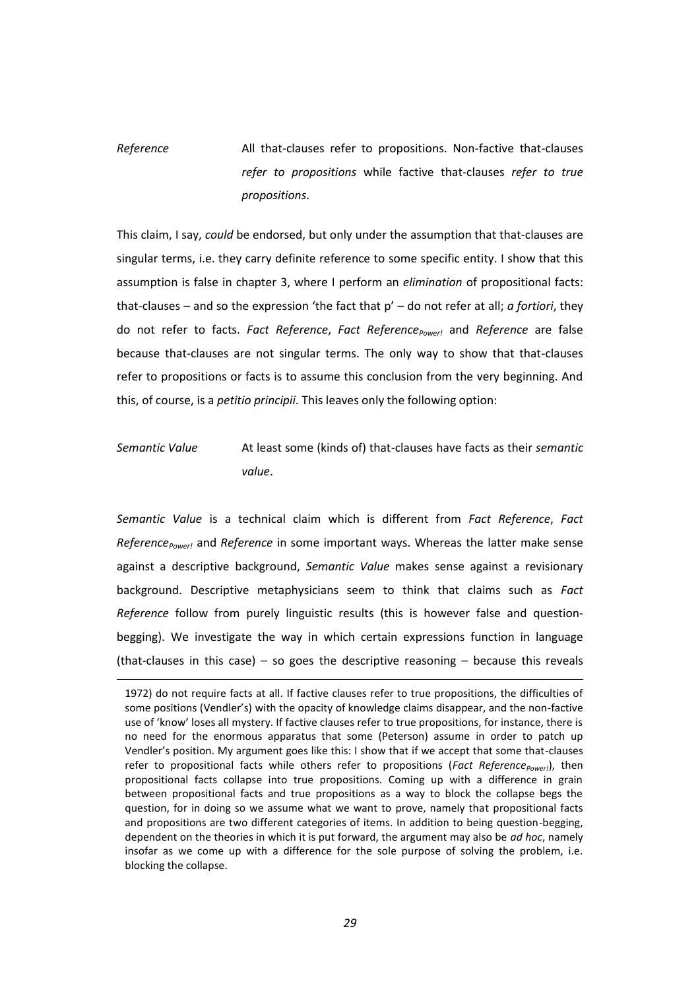# *Reference* All that-clauses refer to propositions. Non-factive that-clauses *refer to propositions* while factive that-clauses *refer to true propositions*.

This claim, I say, *could* be endorsed, but only under the assumption that that-clauses are singular terms, i.e. they carry definite reference to some specific entity. I show that this assumption is false in chapter 3, where I perform an *elimination* of propositional facts: that-clauses – and so the expression 'the fact that p' – do not refer at all; *a fortiori*, they do not refer to facts. *Fact Reference*, *Fact ReferencePower!* and *Reference* are false because that-clauses are not singular terms. The only way to show that that-clauses refer to propositions or facts is to assume this conclusion from the very beginning. And this, of course, is a *petitio principii*. This leaves only the following option:

*Semantic Value* At least some (kinds of) that-clauses have facts as their *semantic value*.

*Semantic Value* is a technical claim which is different from *Fact Reference*, *Fact ReferencePower!* and *Reference* in some important ways. Whereas the latter make sense against a descriptive background, *Semantic Value* makes sense against a revisionary background. Descriptive metaphysicians seem to think that claims such as *Fact Reference* follow from purely linguistic results (this is however false and questionbegging). We investigate the way in which certain expressions function in language (that-clauses in this case) – so goes the descriptive reasoning – because this reveals

<u>.</u>

<sup>1972)</sup> do not require facts at all. If factive clauses refer to true propositions, the difficulties of some positions (Vendler's) with the opacity of knowledge claims disappear, and the non-factive use of 'know' loses all mystery. If factive clauses refer to true propositions, for instance, there is no need for the enormous apparatus that some (Peterson) assume in order to patch up Vendler's position. My argument goes like this: I show that if we accept that some that-clauses refer to propositional facts while others refer to propositions (*Fact ReferencePower!*), then propositional facts collapse into true propositions. Coming up with a difference in grain between propositional facts and true propositions as a way to block the collapse begs the question, for in doing so we assume what we want to prove, namely that propositional facts and propositions are two different categories of items. In addition to being question-begging, dependent on the theories in which it is put forward, the argument may also be *ad hoc*, namely insofar as we come up with a difference for the sole purpose of solving the problem, i.e. blocking the collapse.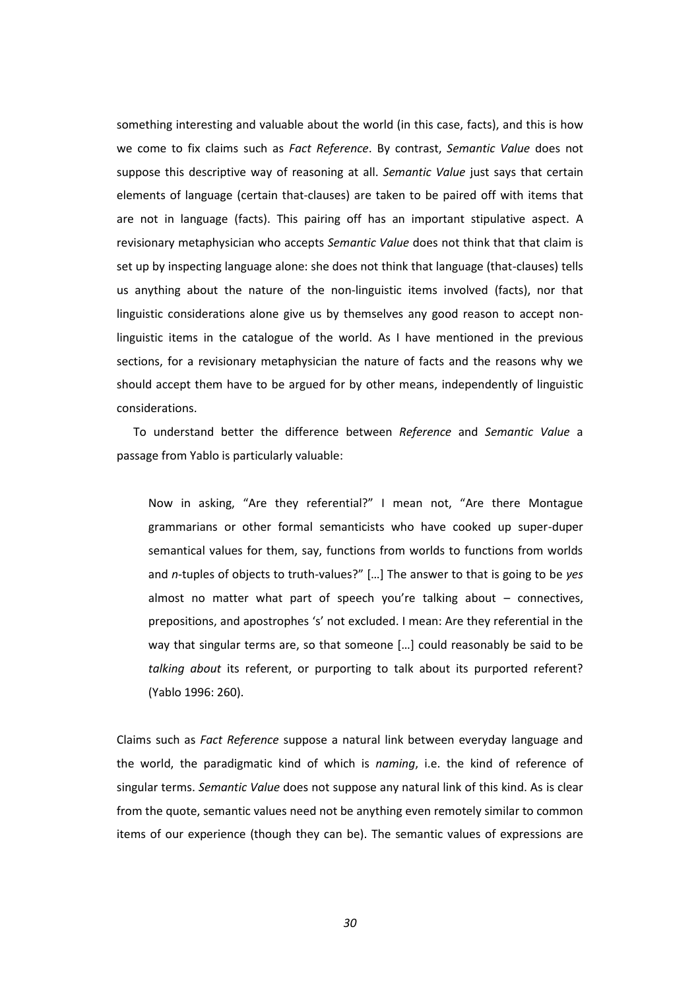something interesting and valuable about the world (in this case, facts), and this is how we come to fix claims such as *Fact Reference*. By contrast, *Semantic Value* does not suppose this descriptive way of reasoning at all. *Semantic Value* just says that certain elements of language (certain that-clauses) are taken to be paired off with items that are not in language (facts). This pairing off has an important stipulative aspect. A revisionary metaphysician who accepts *Semantic Value* does not think that that claim is set up by inspecting language alone: she does not think that language (that-clauses) tells us anything about the nature of the non-linguistic items involved (facts), nor that linguistic considerations alone give us by themselves any good reason to accept nonlinguistic items in the catalogue of the world. As I have mentioned in the previous sections, for a revisionary metaphysician the nature of facts and the reasons why we should accept them have to be argued for by other means, independently of linguistic considerations.

To understand better the difference between *Reference* and *Semantic Value* a passage from Yablo is particularly valuable:

Now in asking, "Are they referential?" I mean not, "Are there Montague grammarians or other formal semanticists who have cooked up super-duper semantical values for them, say, functions from worlds to functions from worlds and *n*-tuples of objects to truth-values?" […] The answer to that is going to be *yes* almost no matter what part of speech you're talking about – connectives, prepositions, and apostrophes 's' not excluded. I mean: Are they referential in the way that singular terms are, so that someone […] could reasonably be said to be *talking about* its referent, or purporting to talk about its purported referent? (Yablo 1996: 260).

Claims such as *Fact Reference* suppose a natural link between everyday language and the world, the paradigmatic kind of which is *naming*, i.e. the kind of reference of singular terms. *Semantic Value* does not suppose any natural link of this kind. As is clear from the quote, semantic values need not be anything even remotely similar to common items of our experience (though they can be). The semantic values of expressions are

*30*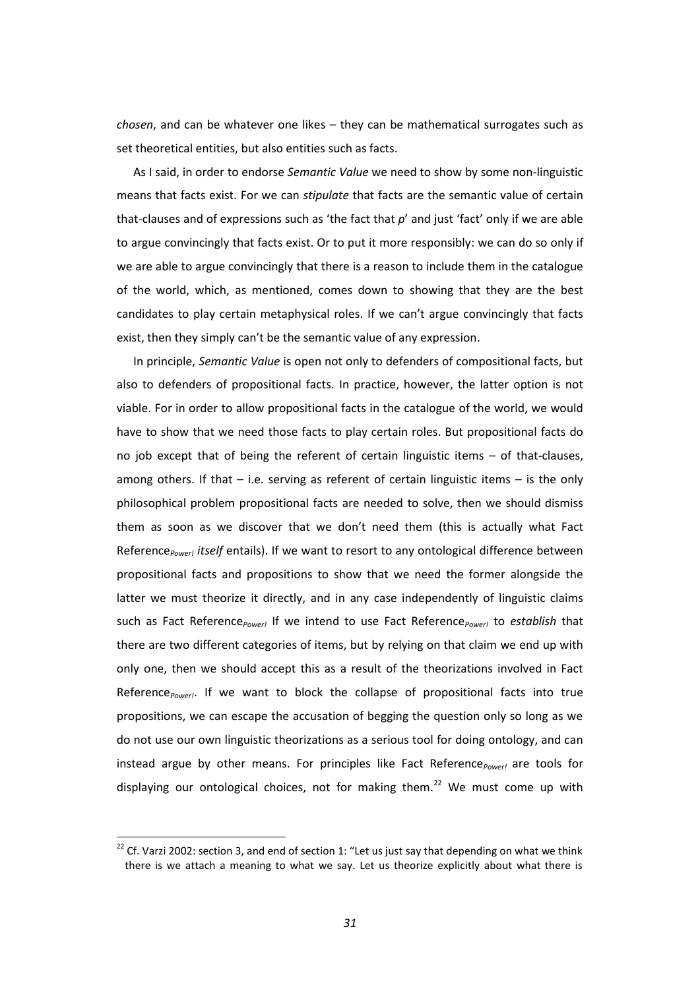*chosen*, and can be whatever one likes – they can be mathematical surrogates such as set theoretical entities, but also entities such as facts.

As I said, in order to endorse *Semantic Value* we need to show by some non-linguistic means that facts exist. For we can *stipulate* that facts are the semantic value of certain that-clauses and of expressions such as 'the fact that *p*' and just 'fact' only if we are able to argue convincingly that facts exist. Or to put it more responsibly: we can do so only if we are able to argue convincingly that there is a reason to include them in the catalogue of the world, which, as mentioned, comes down to showing that they are the best candidates to play certain metaphysical roles. If we can't argue convincingly that facts exist, then they simply can't be the semantic value of any expression.

In principle, *Semantic Value* is open not only to defenders of compositional facts, but also to defenders of propositional facts. In practice, however, the latter option is not viable. For in order to allow propositional facts in the catalogue of the world, we would have to show that we need those facts to play certain roles. But propositional facts do no job except that of being the referent of certain linguistic items – of that-clauses, among others. If that  $-$  i.e. serving as referent of certain linguistic items  $-$  is the only philosophical problem propositional facts are needed to solve, then we should dismiss them as soon as we discover that we don't need them (this is actually what Fact Reference*Power! itself* entails). If we want to resort to any ontological difference between propositional facts and propositions to show that we need the former alongside the latter we must theorize it directly, and in any case independently of linguistic claims such as Fact Reference*Power!* If we intend to use Fact Reference*Power!* to *establish* that there are two different categories of items, but by relying on that claim we end up with only one, then we should accept this as a result of the theorizations involved in Fact Reference*Power!*. If we want to block the collapse of propositional facts into true propositions, we can escape the accusation of begging the question only so long as we do not use our own linguistic theorizations as a serious tool for doing ontology, and can instead argue by other means. For principles like Fact Reference<sub>Power!</sub> are tools for displaying our ontological choices, not for making them.<sup>22</sup> We must come up with

 $22$  Cf. Varzi 2002: section 3, and end of section 1: "Let us just say that depending on what we think there is we attach a meaning to what we say. Let us theorize explicitly about what there is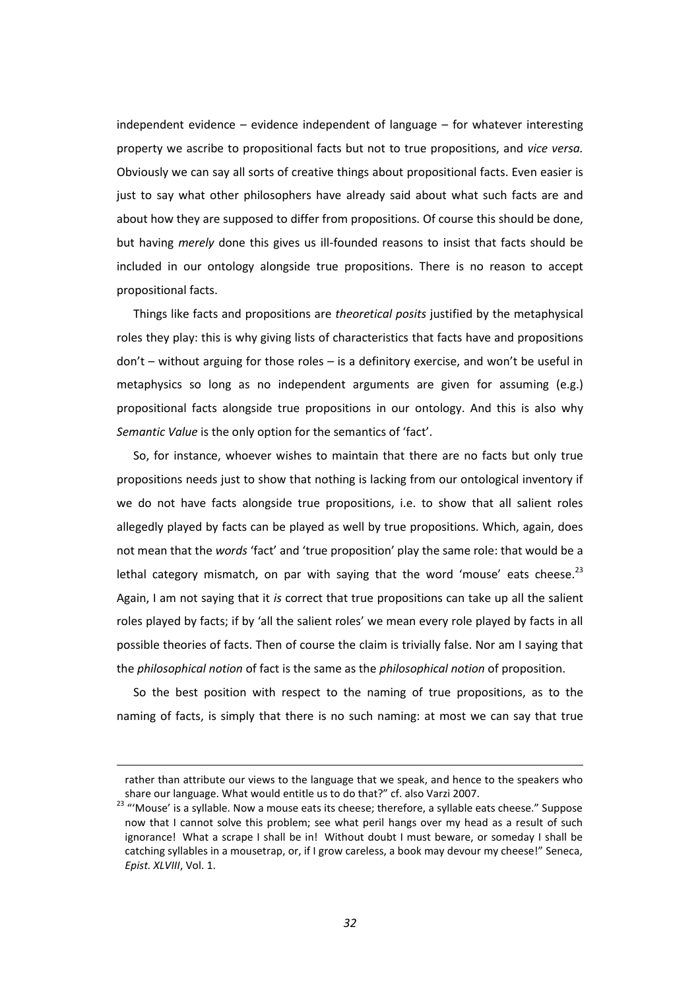independent evidence – evidence independent of language – for whatever interesting property we ascribe to propositional facts but not to true propositions, and *vice versa.*  Obviously we can say all sorts of creative things about propositional facts. Even easier is just to say what other philosophers have already said about what such facts are and about how they are supposed to differ from propositions. Of course this should be done, but having *merely* done this gives us ill-founded reasons to insist that facts should be included in our ontology alongside true propositions. There is no reason to accept propositional facts.

Things like facts and propositions are *theoretical posits* justified by the metaphysical roles they play: this is why giving lists of characteristics that facts have and propositions don't – without arguing for those roles – is a definitory exercise, and won't be useful in metaphysics so long as no independent arguments are given for assuming (e.g.) propositional facts alongside true propositions in our ontology. And this is also why *Semantic Value* is the only option for the semantics of 'fact'.

So, for instance, whoever wishes to maintain that there are no facts but only true propositions needs just to show that nothing is lacking from our ontological inventory if we do not have facts alongside true propositions, i.e. to show that all salient roles allegedly played by facts can be played as well by true propositions. Which, again, does not mean that the *words* 'fact' and 'true proposition' play the same role: that would be a lethal category mismatch, on par with saying that the word 'mouse' eats cheese.<sup>23</sup> Again, I am not saying that it *is* correct that true propositions can take up all the salient roles played by facts; if by 'all the salient roles' we mean every role played by facts in all possible theories of facts. Then of course the claim is trivially false. Nor am I saying that the *philosophical notion* of fact is the same as the *philosophical notion* of proposition.

So the best position with respect to the naming of true propositions, as to the naming of facts, is simply that there is no such naming: at most we can say that true

1

rather than attribute our views to the language that we speak, and hence to the speakers who share our language. What would entitle us to do that?" cf. also Varzi 2007.

<sup>&</sup>lt;sup>23</sup> "'Mouse' is a syllable. Now a mouse eats its cheese; therefore, a syllable eats cheese." Suppose now that I cannot solve this problem; see what peril hangs over my head as a result of such ignorance! What a scrape I shall be in! Without doubt I must beware, or someday I shall be catching syllables in a mousetrap, or, if I grow careless, a book may devour my cheese!" Seneca, *Epist. XLVIII*, Vol. 1.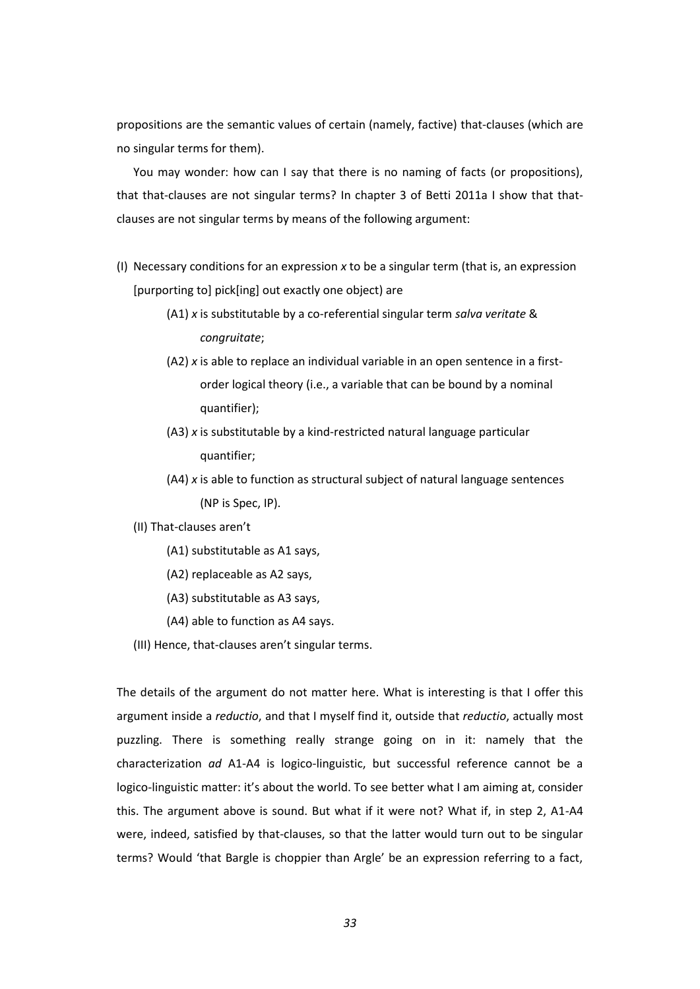propositions are the semantic values of certain (namely, factive) that-clauses (which are no singular terms for them).

You may wonder: how can I say that there is no naming of facts (or propositions), that that-clauses are not singular terms? In chapter 3 of Betti 2011a I show that thatclauses are not singular terms by means of the following argument:

- (I) Necessary conditions for an expression *x* to be a singular term (that is, an expression [purporting to] pick[ing] out exactly one object) are
	- (A1) *x* is substitutable by a co-referential singular term *salva veritate* & *congruitate*;
	- (A2) *x* is able to replace an individual variable in an open sentence in a firstorder logical theory (i.e., a variable that can be bound by a nominal quantifier);
	- (A3) *x* is substitutable by a kind-restricted natural language particular quantifier;
	- (A4) *x* is able to function as structural subject of natural language sentences (NP is Spec, IP).
	- (II) That-clauses aren't
		- (A1) substitutable as A1 says,
		- (A2) replaceable as A2 says,
		- (A3) substitutable as A3 says,
		- (A4) able to function as A4 says.
	- (III) Hence, that-clauses aren't singular terms.

The details of the argument do not matter here. What is interesting is that I offer this argument inside a *reductio*, and that I myself find it, outside that *reductio*, actually most puzzling. There is something really strange going on in it: namely that the characterization *ad* A1-A4 is logico-linguistic, but successful reference cannot be a logico-linguistic matter: it's about the world. To see better what I am aiming at, consider this. The argument above is sound. But what if it were not? What if, in step 2, A1-A4 were, indeed, satisfied by that-clauses, so that the latter would turn out to be singular terms? Would 'that Bargle is choppier than Argle' be an expression referring to a fact,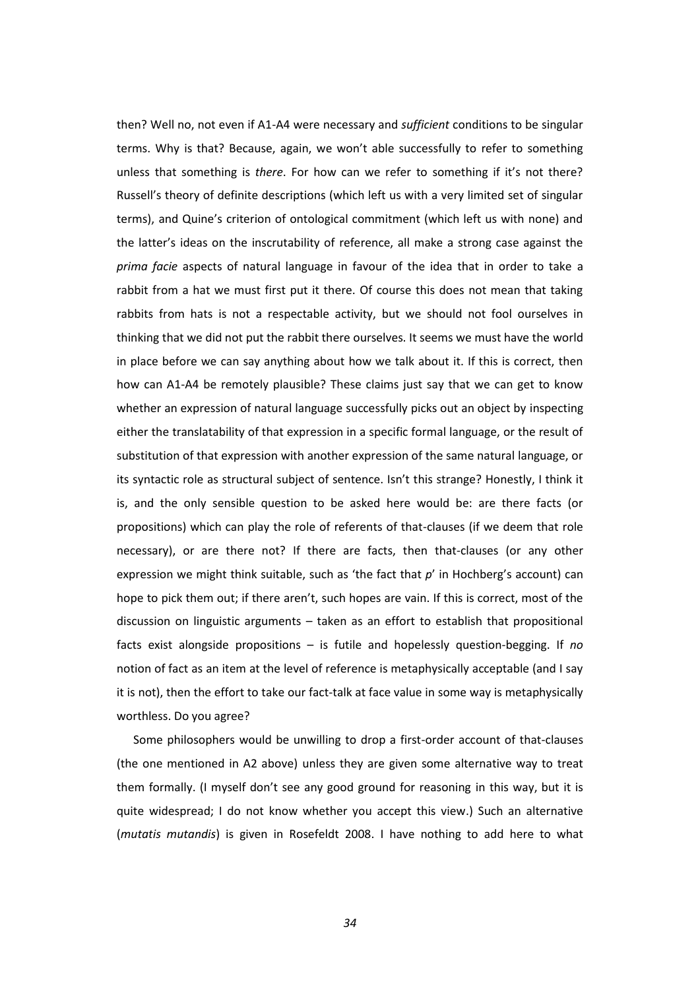then? Well no, not even if A1-A4 were necessary and *sufficient* conditions to be singular terms. Why is that? Because, again, we won't able successfully to refer to something unless that something is *there*. For how can we refer to something if it's not there? Russell's theory of definite descriptions (which left us with a very limited set of singular terms), and Quine's criterion of ontological commitment (which left us with none) and the latter's ideas on the inscrutability of reference, all make a strong case against the *prima facie* aspects of natural language in favour of the idea that in order to take a rabbit from a hat we must first put it there. Of course this does not mean that taking rabbits from hats is not a respectable activity, but we should not fool ourselves in thinking that we did not put the rabbit there ourselves. It seems we must have the world in place before we can say anything about how we talk about it. If this is correct, then how can A1-A4 be remotely plausible? These claims just say that we can get to know whether an expression of natural language successfully picks out an object by inspecting either the translatability of that expression in a specific formal language, or the result of substitution of that expression with another expression of the same natural language, or its syntactic role as structural subject of sentence. Isn't this strange? Honestly, I think it is, and the only sensible question to be asked here would be: are there facts (or propositions) which can play the role of referents of that-clauses (if we deem that role necessary), or are there not? If there are facts, then that-clauses (or any other expression we might think suitable, such as 'the fact that *p*' in Hochberg's account) can hope to pick them out; if there aren't, such hopes are vain. If this is correct, most of the discussion on linguistic arguments – taken as an effort to establish that propositional facts exist alongside propositions – is futile and hopelessly question-begging. If *no* notion of fact as an item at the level of reference is metaphysically acceptable (and I say it is not), then the effort to take our fact-talk at face value in some way is metaphysically worthless. Do you agree?

Some philosophers would be unwilling to drop a first-order account of that-clauses (the one mentioned in A2 above) unless they are given some alternative way to treat them formally. (I myself don't see any good ground for reasoning in this way, but it is quite widespread; I do not know whether you accept this view.) Such an alternative (*mutatis mutandis*) is given in Rosefeldt 2008. I have nothing to add here to what

*34*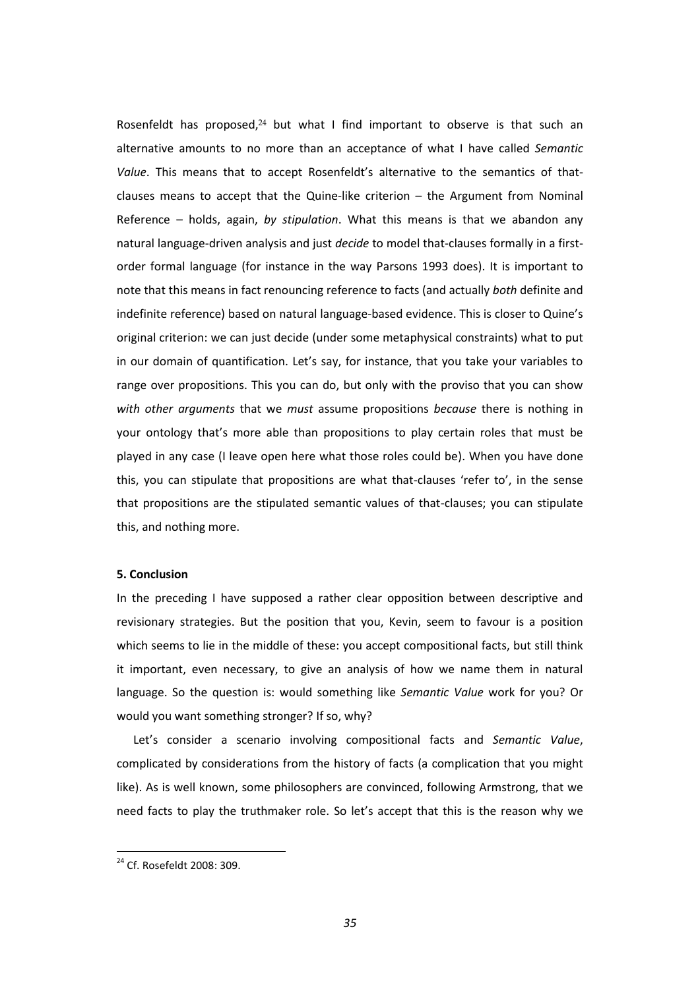Rosenfeldt has proposed,<sup>24</sup> but what I find important to observe is that such an alternative amounts to no more than an acceptance of what I have called *Semantic Value*. This means that to accept Rosenfeldt's alternative to the semantics of thatclauses means to accept that the Quine-like criterion – the Argument from Nominal Reference – holds, again, *by stipulation*. What this means is that we abandon any natural language-driven analysis and just *decide* to model that-clauses formally in a firstorder formal language (for instance in the way Parsons 1993 does). It is important to note that this means in fact renouncing reference to facts (and actually *both* definite and indefinite reference) based on natural language-based evidence. This is closer to Quine's original criterion: we can just decide (under some metaphysical constraints) what to put in our domain of quantification. Let's say, for instance, that you take your variables to range over propositions. This you can do, but only with the proviso that you can show *with other arguments* that we *must* assume propositions *because* there is nothing in your ontology that's more able than propositions to play certain roles that must be played in any case (I leave open here what those roles could be). When you have done this, you can stipulate that propositions are what that-clauses 'refer to', in the sense that propositions are the stipulated semantic values of that-clauses; you can stipulate this, and nothing more.

#### **5. Conclusion**

In the preceding I have supposed a rather clear opposition between descriptive and revisionary strategies. But the position that you, Kevin, seem to favour is a position which seems to lie in the middle of these: you accept compositional facts, but still think it important, even necessary, to give an analysis of how we name them in natural language. So the question is: would something like *Semantic Value* work for you? Or would you want something stronger? If so, why?

Let's consider a scenario involving compositional facts and *Semantic Value*, complicated by considerations from the history of facts (a complication that you might like). As is well known, some philosophers are convinced, following Armstrong, that we need facts to play the truthmaker role. So let's accept that this is the reason why we

<sup>&</sup>lt;sup>24</sup> Cf. Rosefeldt 2008: 309.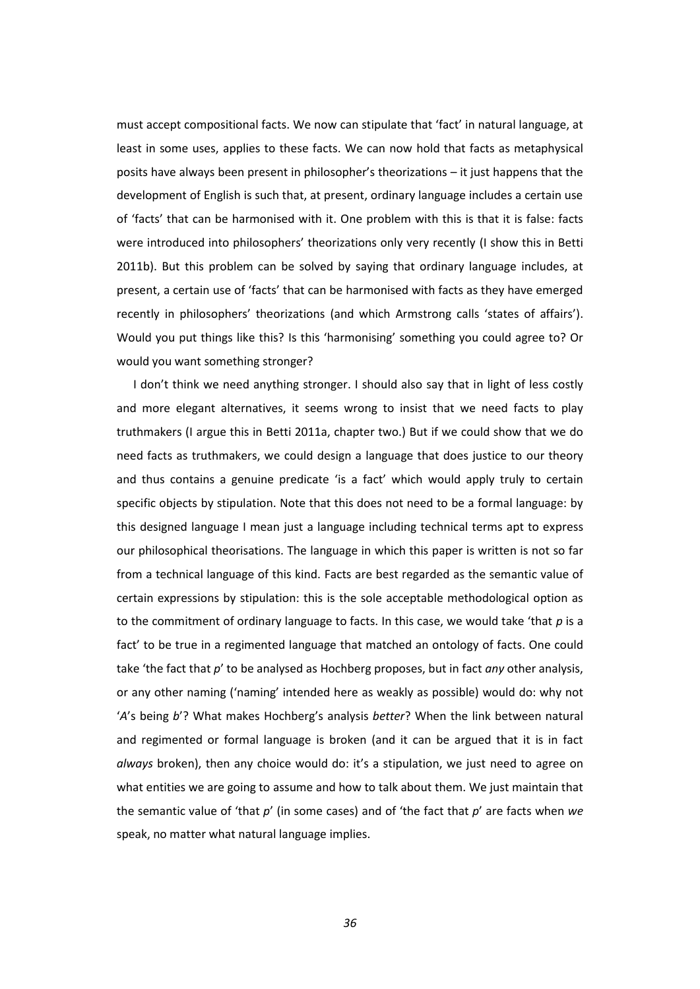must accept compositional facts. We now can stipulate that 'fact' in natural language, at least in some uses, applies to these facts. We can now hold that facts as metaphysical posits have always been present in philosopher's theorizations – it just happens that the development of English is such that, at present, ordinary language includes a certain use of 'facts' that can be harmonised with it. One problem with this is that it is false: facts were introduced into philosophers' theorizations only very recently (I show this in Betti 2011b). But this problem can be solved by saying that ordinary language includes, at present, a certain use of 'facts' that can be harmonised with facts as they have emerged recently in philosophers' theorizations (and which Armstrong calls 'states of affairs'). Would you put things like this? Is this 'harmonising' something you could agree to? Or would you want something stronger?

I don't think we need anything stronger. I should also say that in light of less costly and more elegant alternatives, it seems wrong to insist that we need facts to play truthmakers (I argue this in Betti 2011a, chapter two.) But if we could show that we do need facts as truthmakers, we could design a language that does justice to our theory and thus contains a genuine predicate 'is a fact' which would apply truly to certain specific objects by stipulation. Note that this does not need to be a formal language: by this designed language I mean just a language including technical terms apt to express our philosophical theorisations. The language in which this paper is written is not so far from a technical language of this kind. Facts are best regarded as the semantic value of certain expressions by stipulation: this is the sole acceptable methodological option as to the commitment of ordinary language to facts. In this case, we would take 'that *p* is a fact' to be true in a regimented language that matched an ontology of facts. One could take 'the fact that *p*' to be analysed as Hochberg proposes, but in fact *any* other analysis, or any other naming ('naming' intended here as weakly as possible) would do: why not '*A*'s being *b*'? What makes Hochberg's analysis *better*? When the link between natural and regimented or formal language is broken (and it can be argued that it is in fact *always* broken), then any choice would do: it's a stipulation, we just need to agree on what entities we are going to assume and how to talk about them. We just maintain that the semantic value of 'that *p*' (in some cases) and of 'the fact that *p*' are facts when *we*  speak, no matter what natural language implies.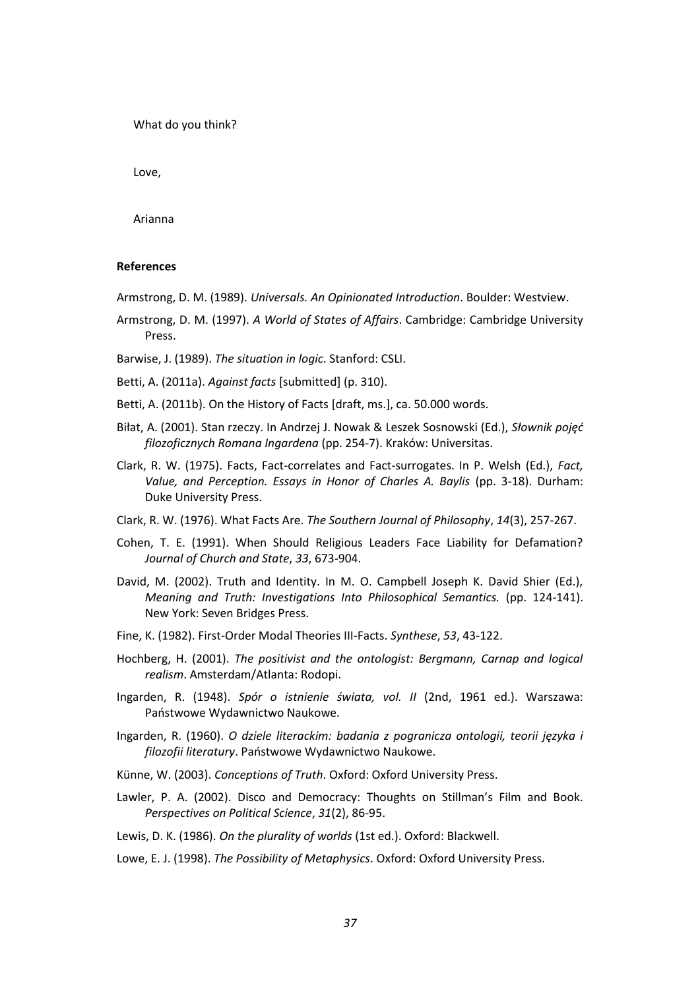What do you think?

Love,

Arianna

#### **References**

- Armstrong, D. M. (1989). *Universals. An Opinionated Introduction*. Boulder: Westview.
- Armstrong, D. M. (1997). *A World of States of Affairs*. Cambridge: Cambridge University Press.
- Barwise, J. (1989). *The situation in logic*. Stanford: CSLI.
- Betti, A. (2011a). *Against facts* [submitted] (p. 310).
- Betti, A. (2011b). On the History of Facts [draft, ms.], ca. 50.000 words.
- Biłat, A. (2001). Stan rzeczy. In Andrzej J. Nowak & Leszek Sosnowski (Ed.), *Słownik pojęć filozoficznych Romana Ingardena* (pp. 254-7). Kraków: Universitas.
- Clark, R. W. (1975). Facts, Fact-correlates and Fact-surrogates. In P. Welsh (Ed.), *Fact, Value, and Perception. Essays in Honor of Charles A. Baylis* (pp. 3-18). Durham: Duke University Press.
- Clark, R. W. (1976). What Facts Are. *The Southern Journal of Philosophy*, *14*(3), 257-267.
- Cohen, T. E. (1991). When Should Religious Leaders Face Liability for Defamation? *Journal of Church and State*, *33*, 673-904.
- David, M. (2002). Truth and Identity. In M. O. Campbell Joseph K. David Shier (Ed.), *Meaning and Truth: Investigations Into Philosophical Semantics.* (pp. 124-141). New York: Seven Bridges Press.
- Fine, K. (1982). First-Order Modal Theories III-Facts. *Synthese*, *53*, 43-122.
- Hochberg, H. (2001). *The positivist and the ontologist: Bergmann, Carnap and logical realism*. Amsterdam/Atlanta: Rodopi.
- Ingarden, R. (1948). *Spór o istnienie świata, vol. II* (2nd, 1961 ed.). Warszawa: Państwowe Wydawnictwo Naukowe.
- Ingarden, R. (1960). *O dziele literackim: badania z pogranicza ontologii, teorii języka i filozofii literatury*. Państwowe Wydawnictwo Naukowe.
- Künne, W. (2003). *Conceptions of Truth*. Oxford: Oxford University Press.
- Lawler, P. A. (2002). Disco and Democracy: Thoughts on Stillman's Film and Book. *Perspectives on Political Science*, *31*(2), 86-95.
- Lewis, D. K. (1986). *On the plurality of worlds* (1st ed.). Oxford: Blackwell.
- Lowe, E. J. (1998). *The Possibility of Metaphysics*. Oxford: Oxford University Press.